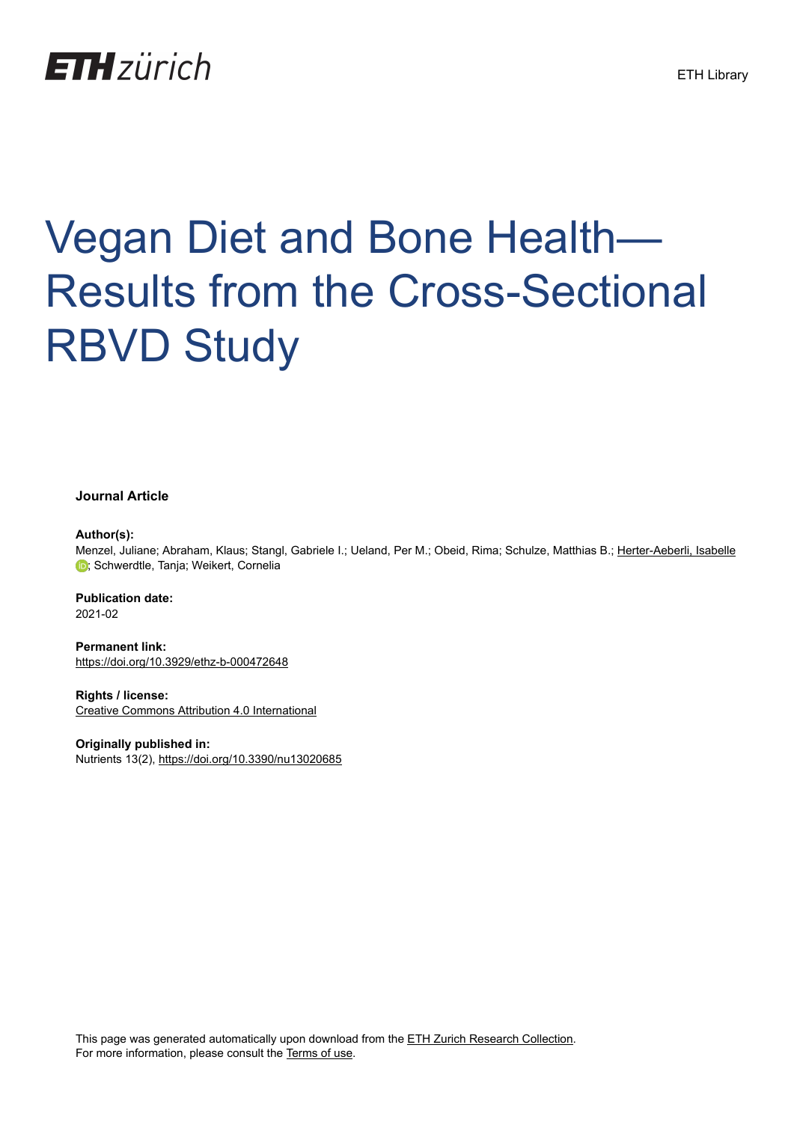## **ETH**zürich

# Vegan Diet and Bone Health— Results from the Cross-Sectional RBVD Study

#### **Journal Article**

#### **Author(s):**

Menzel, Juliane; Abraham, Klaus; Stangl, Gabriele I.; Ueland, Per M.; Obeid, Rima; Schulze, Matthias B.; [Herter-Aeberli, Isabelle](https://orcid.org/0000-0003-0134-6217) **D**: Schwerdtle, Tanja[;](https://orcid.org/0000-0003-0134-6217) Weikert, Cornelia

**Publication date:** 2021-02

**Permanent link:** <https://doi.org/10.3929/ethz-b-000472648>

**Rights / license:** [Creative Commons Attribution 4.0 International](http://creativecommons.org/licenses/by/4.0/)

**Originally published in:** Nutrients 13(2),<https://doi.org/10.3390/nu13020685>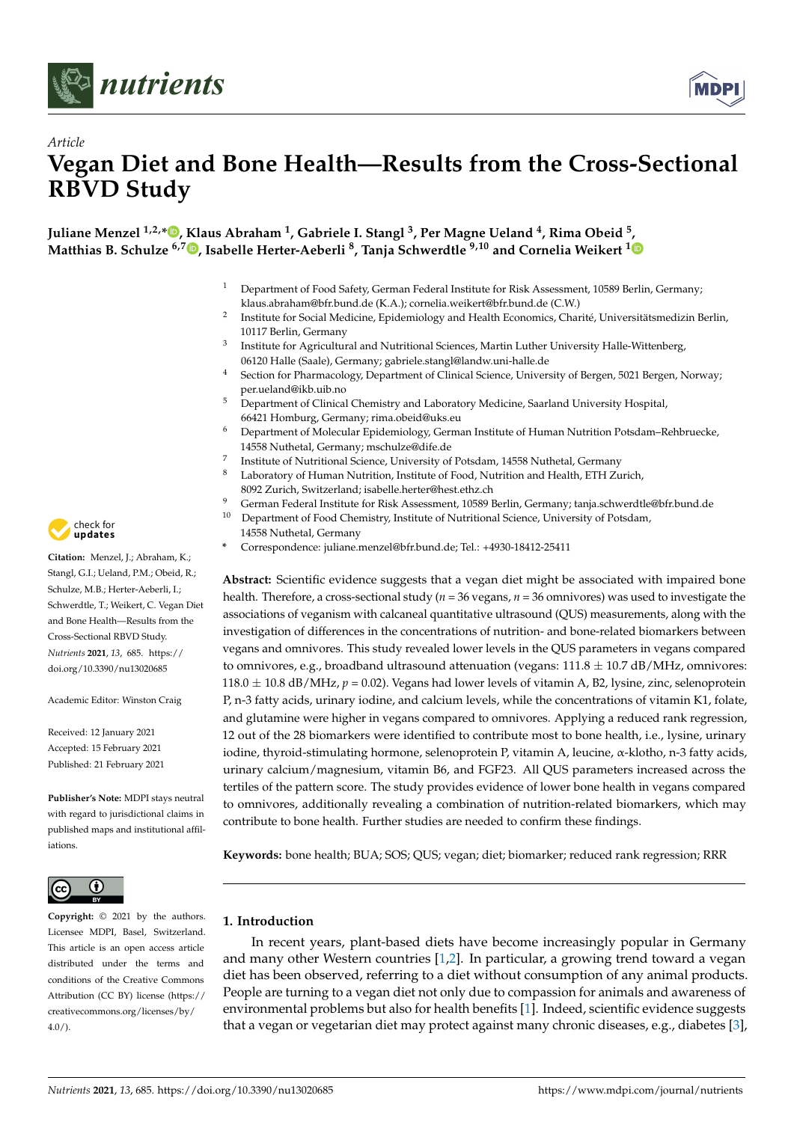



### *Article* **Vegan Diet and Bone Health—Results from the Cross-Sectional RBVD Study**

**Juliane Menzel 1,2,\* [,](https://orcid.org/0000-0001-7938-4251) Klaus Abraham <sup>1</sup> , Gabriele I. Stangl <sup>3</sup> , Per Magne Ueland <sup>4</sup> , Rima Obeid <sup>5</sup> [,](https://orcid.org/0000-0003-1756-0146) Matthias B. Schulze 6,7 [,](https://orcid.org/0000-0002-0830-5277) Isabelle Herter-Aeberli <sup>8</sup> , Tanja Schwerdtle 9,10 and Cornelia Weikert <sup>1</sup>**

- <sup>1</sup> Department of Food Safety, German Federal Institute for Risk Assessment, 10589 Berlin, Germany; klaus.abraham@bfr.bund.de (K.A.); cornelia.weikert@bfr.bund.de (C.W.)
- 2 Institute for Social Medicine, Epidemiology and Health Economics, Charité, Universitätsmedizin Berlin, 10117 Berlin, Germany
- 3 Institute for Agricultural and Nutritional Sciences, Martin Luther University Halle-Wittenberg, 06120 Halle (Saale), Germany; gabriele.stangl@landw.uni-halle.de
- <sup>4</sup> Section for Pharmacology, Department of Clinical Science, University of Bergen, 5021 Bergen, Norway; per.ueland@ikb.uib.no
- <sup>5</sup> Department of Clinical Chemistry and Laboratory Medicine, Saarland University Hospital, 66421 Homburg, Germany; rima.obeid@uks.eu
- <sup>6</sup> Department of Molecular Epidemiology, German Institute of Human Nutrition Potsdam–Rehbruecke, 14558 Nuthetal, Germany; mschulze@dife.de
- 7 Institute of Nutritional Science, University of Potsdam, 14558 Nuthetal, Germany
- <sup>8</sup> Laboratory of Human Nutrition, Institute of Food, Nutrition and Health, ETH Zurich,
	- 8092 Zurich, Switzerland; isabelle.herter@hest.ethz.ch
- 9 German Federal Institute for Risk Assessment, 10589 Berlin, Germany; tanja.schwerdtle@bfr.bund.de<br><sup>10</sup> Department of Food Chemistry, Institute of Nutritional Science, University of Potedam
- <sup>10</sup> Department of Food Chemistry, Institute of Nutritional Science, University of Potsdam, 14558 Nuthetal, Germany
- **\*** Correspondence: juliane.menzel@bfr.bund.de; Tel.: +4930-18412-25411

**Abstract:** Scientific evidence suggests that a vegan diet might be associated with impaired bone health. Therefore, a cross-sectional study ( $n = 36$  vegans,  $n = 36$  omnivores) was used to investigate the associations of veganism with calcaneal quantitative ultrasound (QUS) measurements, along with the investigation of differences in the concentrations of nutrition- and bone-related biomarkers between vegans and omnivores. This study revealed lower levels in the QUS parameters in vegans compared to omnivores, e.g., broadband ultrasound attenuation (vegans:  $111.8 \pm 10.7$  dB/MHz, omnivores:  $118.0 \pm 10.8$  dB/MHz,  $p = 0.02$ ). Vegans had lower levels of vitamin A, B2, lysine, zinc, selenoprotein P, n-3 fatty acids, urinary iodine, and calcium levels, while the concentrations of vitamin K1, folate, and glutamine were higher in vegans compared to omnivores. Applying a reduced rank regression, 12 out of the 28 biomarkers were identified to contribute most to bone health, i.e., lysine, urinary iodine, thyroid-stimulating hormone, selenoprotein P, vitamin A, leucine, α-klotho, n-3 fatty acids, urinary calcium/magnesium, vitamin B6, and FGF23. All QUS parameters increased across the tertiles of the pattern score. The study provides evidence of lower bone health in vegans compared to omnivores, additionally revealing a combination of nutrition-related biomarkers, which may contribute to bone health. Further studies are needed to confirm these findings.

**Keywords:** bone health; BUA; SOS; QUS; vegan; diet; biomarker; reduced rank regression; RRR

#### **1. Introduction**

In recent years, plant-based diets have become increasingly popular in Germany and many other Western countries [\[1](#page-13-0)[,2\]](#page-13-1). In particular, a growing trend toward a vegan diet has been observed, referring to a diet without consumption of any animal products. People are turning to a vegan diet not only due to compassion for animals and awareness of environmental problems but also for health benefits [\[1\]](#page-13-0). Indeed, scientific evidence suggests that a vegan or vegetarian diet may protect against many chronic diseases, e.g., diabetes [\[3\]](#page-13-2),



**Citation:** Menzel, J.; Abraham, K.; Stangl, G.I.; Ueland, P.M.; Obeid, R.; Schulze, M.B.; Herter-Aeberli, I.; Schwerdtle, T.; Weikert, C. Vegan Diet and Bone Health—Results from the Cross-Sectional RBVD Study. *Nutrients* **2021**, *13*, 685. [https://](https://doi.org/10.3390/nu13020685) [doi.org/10.3390/nu13020685](https://doi.org/10.3390/nu13020685)

Academic Editor: Winston Craig

Received: 12 January 2021 Accepted: 15 February 2021 Published: 21 February 2021

**Publisher's Note:** MDPI stays neutral with regard to jurisdictional claims in published maps and institutional affiliations.



**Copyright:** © 2021 by the authors. Licensee MDPI, Basel, Switzerland. This article is an open access article distributed under the terms and conditions of the Creative Commons Attribution (CC BY) license (https:/[/](https://creativecommons.org/licenses/by/4.0/) [creativecommons.org/licenses/by/](https://creativecommons.org/licenses/by/4.0/)  $4.0/$ ).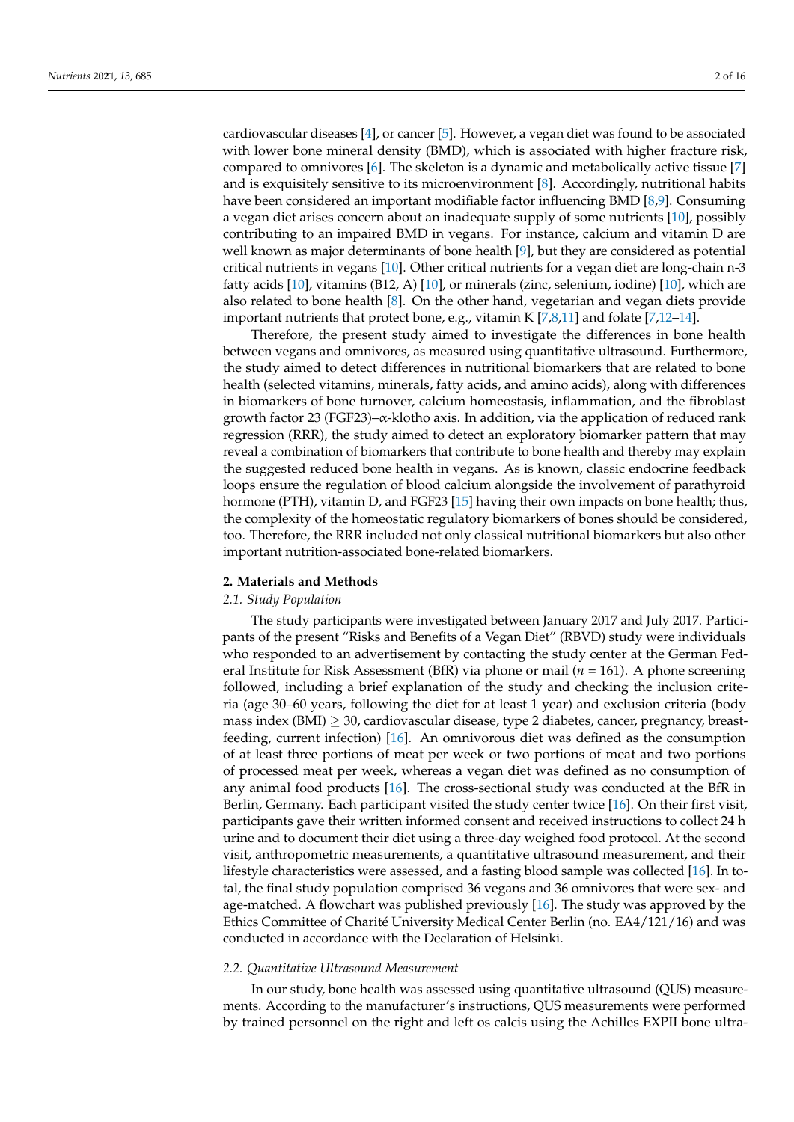cardiovascular diseases [\[4\]](#page-13-3), or cancer [\[5\]](#page-13-4). However, a vegan diet was found to be associated with lower bone mineral density (BMD), which is associated with higher fracture risk, compared to omnivores [\[6\]](#page-13-5). The skeleton is a dynamic and metabolically active tissue [\[7\]](#page-13-6) and is exquisitely sensitive to its microenvironment [\[8\]](#page-13-7). Accordingly, nutritional habits have been considered an important modifiable factor influencing BMD [\[8](#page-13-7)[,9\]](#page-13-8). Consuming a vegan diet arises concern about an inadequate supply of some nutrients [\[10\]](#page-13-9), possibly contributing to an impaired BMD in vegans. For instance, calcium and vitamin D are well known as major determinants of bone health [\[9\]](#page-13-8), but they are considered as potential critical nutrients in vegans [\[10\]](#page-13-9). Other critical nutrients for a vegan diet are long-chain n-3 fatty acids [\[10\]](#page-13-9), vitamins (B12, A) [\[10\]](#page-13-9), or minerals (zinc, selenium, iodine) [\[10\]](#page-13-9), which are also related to bone health [\[8\]](#page-13-7). On the other hand, vegetarian and vegan diets provide important nutrients that protect bone, e.g., vitamin K [\[7,](#page-13-6)[8,](#page-13-7)[11\]](#page-13-10) and folate [\[7,](#page-13-6)[12](#page-13-11)[–14\]](#page-14-0).

Therefore, the present study aimed to investigate the differences in bone health between vegans and omnivores, as measured using quantitative ultrasound. Furthermore, the study aimed to detect differences in nutritional biomarkers that are related to bone health (selected vitamins, minerals, fatty acids, and amino acids), along with differences in biomarkers of bone turnover, calcium homeostasis, inflammation, and the fibroblast growth factor 23 (FGF23)–α-klotho axis. In addition, via the application of reduced rank regression (RRR), the study aimed to detect an exploratory biomarker pattern that may reveal a combination of biomarkers that contribute to bone health and thereby may explain the suggested reduced bone health in vegans. As is known, classic endocrine feedback loops ensure the regulation of blood calcium alongside the involvement of parathyroid hormone (PTH), vitamin D, and FGF23 [\[15\]](#page-14-1) having their own impacts on bone health; thus, the complexity of the homeostatic regulatory biomarkers of bones should be considered, too. Therefore, the RRR included not only classical nutritional biomarkers but also other important nutrition-associated bone-related biomarkers.

#### **2. Materials and Methods**

#### *2.1. Study Population*

The study participants were investigated between January 2017 and July 2017. Participants of the present "Risks and Benefits of a Vegan Diet" (RBVD) study were individuals who responded to an advertisement by contacting the study center at the German Federal Institute for Risk Assessment (BfR) via phone or mail (*n* = 161). A phone screening followed, including a brief explanation of the study and checking the inclusion criteria (age 30–60 years, following the diet for at least 1 year) and exclusion criteria (body mass index (BMI)  $\geq$  30, cardiovascular disease, type 2 diabetes, cancer, pregnancy, breastfeeding, current infection) [\[16\]](#page-14-2). An omnivorous diet was defined as the consumption of at least three portions of meat per week or two portions of meat and two portions of processed meat per week, whereas a vegan diet was defined as no consumption of any animal food products [\[16\]](#page-14-2). The cross-sectional study was conducted at the BfR in Berlin, Germany. Each participant visited the study center twice [\[16\]](#page-14-2). On their first visit, participants gave their written informed consent and received instructions to collect 24 h urine and to document their diet using a three-day weighed food protocol. At the second visit, anthropometric measurements, a quantitative ultrasound measurement, and their lifestyle characteristics were assessed, and a fasting blood sample was collected [\[16\]](#page-14-2). In total, the final study population comprised 36 vegans and 36 omnivores that were sex- and age-matched. A flowchart was published previously [\[16\]](#page-14-2). The study was approved by the Ethics Committee of Charité University Medical Center Berlin (no. EA4/121/16) and was conducted in accordance with the Declaration of Helsinki.

#### *2.2. Quantitative Ultrasound Measurement*

In our study, bone health was assessed using quantitative ultrasound (QUS) measurements. According to the manufacturer's instructions, QUS measurements were performed by trained personnel on the right and left os calcis using the Achilles EXPII bone ultra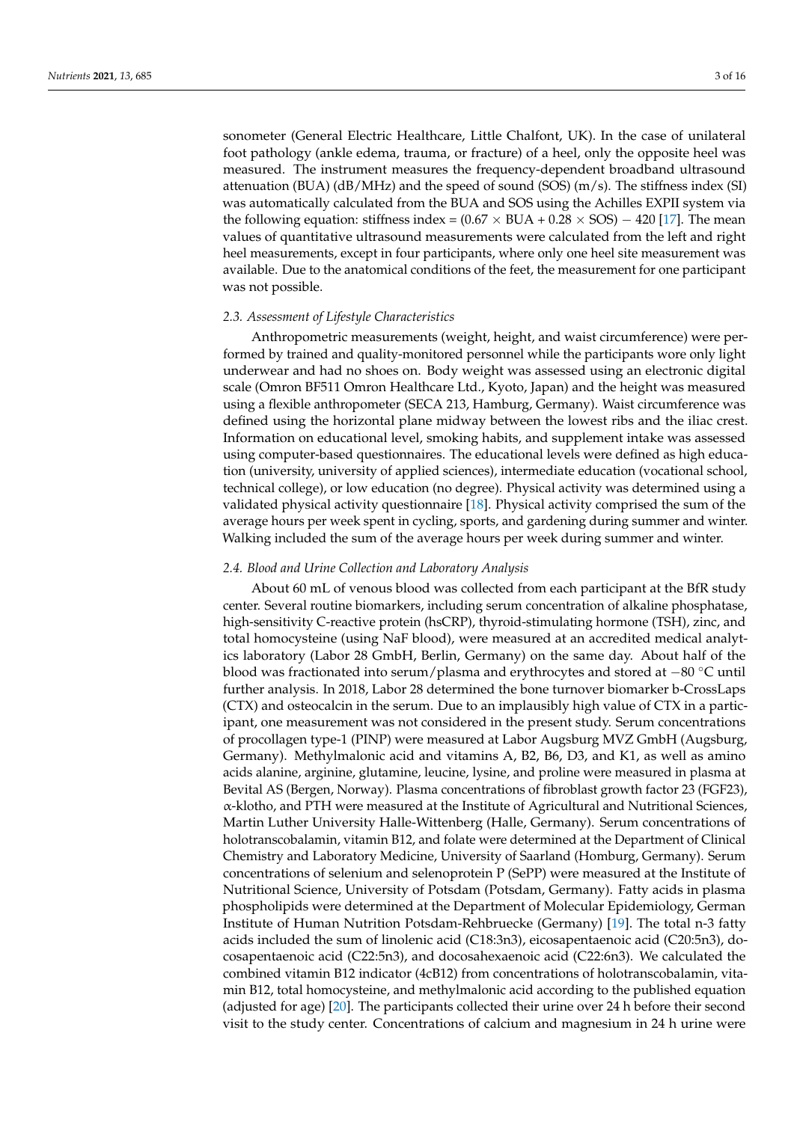sonometer (General Electric Healthcare, Little Chalfont, UK). In the case of unilateral foot pathology (ankle edema, trauma, or fracture) of a heel, only the opposite heel was measured. The instrument measures the frequency-dependent broadband ultrasound attenuation (BUA) (dB/MHz) and the speed of sound (SOS)  $(m/s)$ . The stiffness index (SI) was automatically calculated from the BUA and SOS using the Achilles EXPII system via the following equation: stiffness index =  $(0.67 \times BUA + 0.28 \times SOS) - 420$  [\[17\]](#page-14-3). The mean values of quantitative ultrasound measurements were calculated from the left and right heel measurements, except in four participants, where only one heel site measurement was available. Due to the anatomical conditions of the feet, the measurement for one participant was not possible.

#### *2.3. Assessment of Lifestyle Characteristics*

Anthropometric measurements (weight, height, and waist circumference) were performed by trained and quality-monitored personnel while the participants wore only light underwear and had no shoes on. Body weight was assessed using an electronic digital scale (Omron BF511 Omron Healthcare Ltd., Kyoto, Japan) and the height was measured using a flexible anthropometer (SECA 213, Hamburg, Germany). Waist circumference was defined using the horizontal plane midway between the lowest ribs and the iliac crest. Information on educational level, smoking habits, and supplement intake was assessed using computer-based questionnaires. The educational levels were defined as high education (university, university of applied sciences), intermediate education (vocational school, technical college), or low education (no degree). Physical activity was determined using a validated physical activity questionnaire [\[18\]](#page-14-4). Physical activity comprised the sum of the average hours per week spent in cycling, sports, and gardening during summer and winter. Walking included the sum of the average hours per week during summer and winter.

#### *2.4. Blood and Urine Collection and Laboratory Analysis*

About 60 mL of venous blood was collected from each participant at the BfR study center. Several routine biomarkers, including serum concentration of alkaline phosphatase, high-sensitivity C-reactive protein (hsCRP), thyroid-stimulating hormone (TSH), zinc, and total homocysteine (using NaF blood), were measured at an accredited medical analytics laboratory (Labor 28 GmbH, Berlin, Germany) on the same day. About half of the blood was fractionated into serum/plasma and erythrocytes and stored at −80 ◦C until further analysis. In 2018, Labor 28 determined the bone turnover biomarker b-CrossLaps (CTX) and osteocalcin in the serum. Due to an implausibly high value of CTX in a participant, one measurement was not considered in the present study. Serum concentrations of procollagen type-1 (PINP) were measured at Labor Augsburg MVZ GmbH (Augsburg, Germany). Methylmalonic acid and vitamins A, B2, B6, D3, and K1, as well as amino acids alanine, arginine, glutamine, leucine, lysine, and proline were measured in plasma at Bevital AS (Bergen, Norway). Plasma concentrations of fibroblast growth factor 23 (FGF23), α-klotho, and PTH were measured at the Institute of Agricultural and Nutritional Sciences, Martin Luther University Halle-Wittenberg (Halle, Germany). Serum concentrations of holotranscobalamin, vitamin B12, and folate were determined at the Department of Clinical Chemistry and Laboratory Medicine, University of Saarland (Homburg, Germany). Serum concentrations of selenium and selenoprotein P (SePP) were measured at the Institute of Nutritional Science, University of Potsdam (Potsdam, Germany). Fatty acids in plasma phospholipids were determined at the Department of Molecular Epidemiology, German Institute of Human Nutrition Potsdam-Rehbruecke (Germany) [\[19\]](#page-14-5). The total n-3 fatty acids included the sum of linolenic acid (C18:3n3), eicosapentaenoic acid (C20:5n3), docosapentaenoic acid (C22:5n3), and docosahexaenoic acid (C22:6n3). We calculated the combined vitamin B12 indicator (4cB12) from concentrations of holotranscobalamin, vitamin B12, total homocysteine, and methylmalonic acid according to the published equation (adjusted for age) [\[20\]](#page-14-6). The participants collected their urine over 24 h before their second visit to the study center. Concentrations of calcium and magnesium in 24 h urine were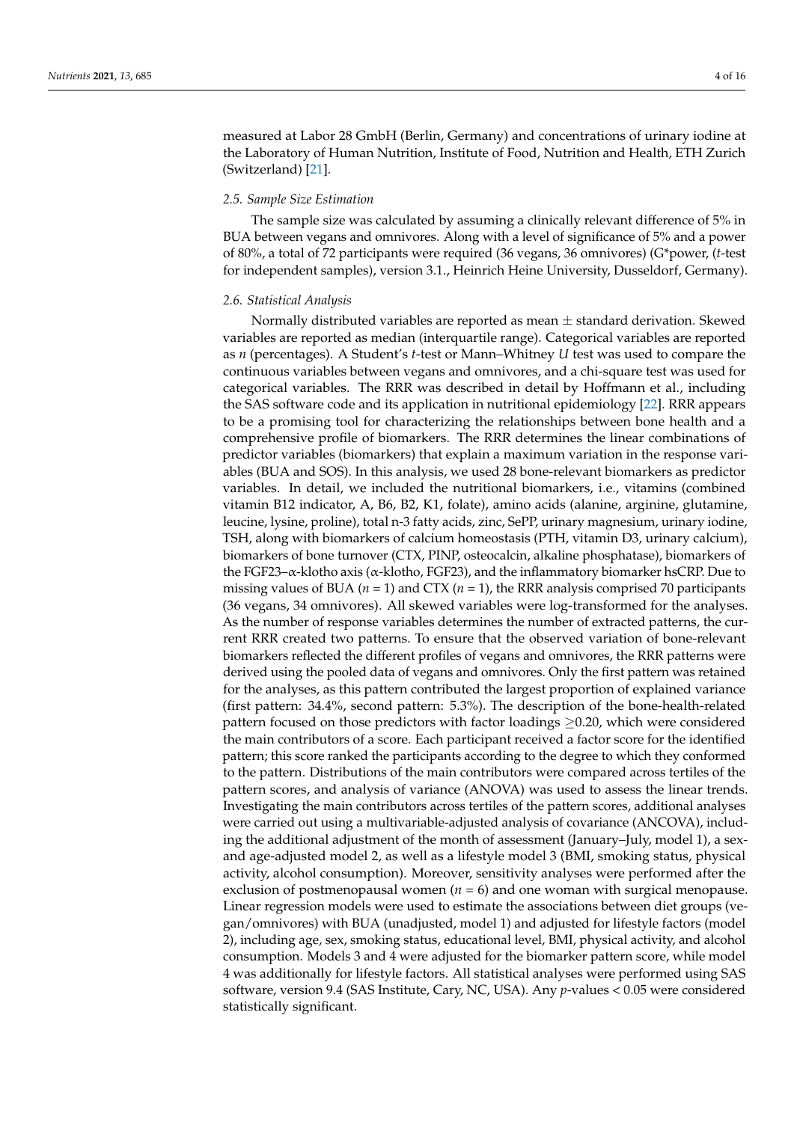measured at Labor 28 GmbH (Berlin, Germany) and concentrations of urinary iodine at the Laboratory of Human Nutrition, Institute of Food, Nutrition and Health, ETH Zurich (Switzerland) [\[21\]](#page-14-7).

#### *2.5. Sample Size Estimation*

The sample size was calculated by assuming a clinically relevant difference of 5% in BUA between vegans and omnivores. Along with a level of significance of 5% and a power of 80%, a total of 72 participants were required (36 vegans, 36 omnivores) (G\*power, (*t*-test for independent samples), version 3.1., Heinrich Heine University, Dusseldorf, Germany).

#### *2.6. Statistical Analysis*

Normally distributed variables are reported as mean  $\pm$  standard derivation. Skewed variables are reported as median (interquartile range). Categorical variables are reported as *n* (percentages). A Student's *t*-test or Mann–Whitney *U* test was used to compare the continuous variables between vegans and omnivores, and a chi-square test was used for categorical variables. The RRR was described in detail by Hoffmann et al., including the SAS software code and its application in nutritional epidemiology [\[22\]](#page-14-8). RRR appears to be a promising tool for characterizing the relationships between bone health and a comprehensive profile of biomarkers. The RRR determines the linear combinations of predictor variables (biomarkers) that explain a maximum variation in the response variables (BUA and SOS). In this analysis, we used 28 bone-relevant biomarkers as predictor variables. In detail, we included the nutritional biomarkers, i.e., vitamins (combined vitamin B12 indicator, A, B6, B2, K1, folate), amino acids (alanine, arginine, glutamine, leucine, lysine, proline), total n-3 fatty acids, zinc, SePP, urinary magnesium, urinary iodine, TSH, along with biomarkers of calcium homeostasis (PTH, vitamin D3, urinary calcium), biomarkers of bone turnover (CTX, PINP, osteocalcin, alkaline phosphatase), biomarkers of the FGF23–α-klotho axis (α-klotho, FGF23), and the inflammatory biomarker hsCRP. Due to missing values of BUA ( $n = 1$ ) and CTX ( $n = 1$ ), the RRR analysis comprised 70 participants (36 vegans, 34 omnivores). All skewed variables were log-transformed for the analyses. As the number of response variables determines the number of extracted patterns, the current RRR created two patterns. To ensure that the observed variation of bone-relevant biomarkers reflected the different profiles of vegans and omnivores, the RRR patterns were derived using the pooled data of vegans and omnivores. Only the first pattern was retained for the analyses, as this pattern contributed the largest proportion of explained variance (first pattern: 34.4%, second pattern: 5.3%). The description of the bone-health-related pattern focused on those predictors with factor loadings  $\geq$ 0.20, which were considered the main contributors of a score. Each participant received a factor score for the identified pattern; this score ranked the participants according to the degree to which they conformed to the pattern. Distributions of the main contributors were compared across tertiles of the pattern scores, and analysis of variance (ANOVA) was used to assess the linear trends. Investigating the main contributors across tertiles of the pattern scores, additional analyses were carried out using a multivariable-adjusted analysis of covariance (ANCOVA), including the additional adjustment of the month of assessment (January–July, model 1), a sexand age-adjusted model 2, as well as a lifestyle model 3 (BMI, smoking status, physical activity, alcohol consumption). Moreover, sensitivity analyses were performed after the exclusion of postmenopausal women ( $n = 6$ ) and one woman with surgical menopause. Linear regression models were used to estimate the associations between diet groups (vegan/omnivores) with BUA (unadjusted, model 1) and adjusted for lifestyle factors (model 2), including age, sex, smoking status, educational level, BMI, physical activity, and alcohol consumption. Models 3 and 4 were adjusted for the biomarker pattern score, while model 4 was additionally for lifestyle factors. All statistical analyses were performed using SAS software, version 9.4 (SAS Institute, Cary, NC, USA). Any *p*-values < 0.05 were considered statistically significant.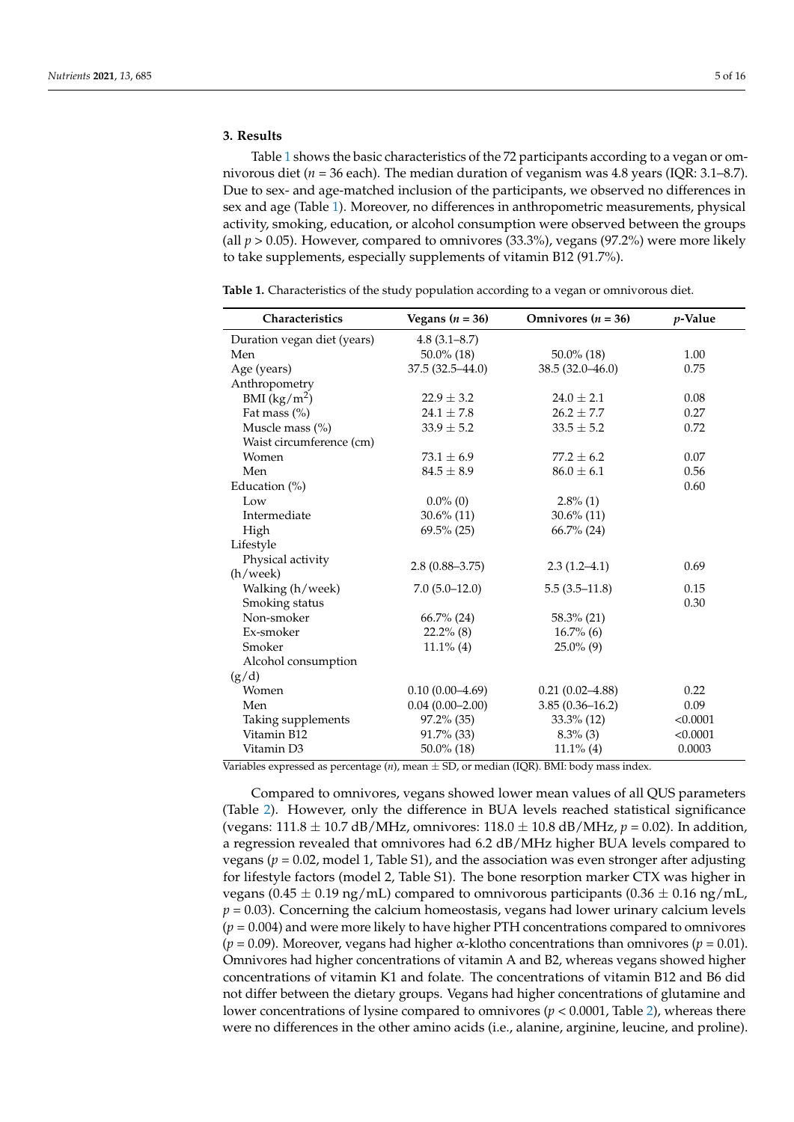#### **3. Results**

Table [1](#page-5-0) shows the basic characteristics of the 72 participants according to a vegan or omnivorous diet (*n* = 36 each). The median duration of veganism was 4.8 years (IQR: 3.1–8.7). Due to sex- and age-matched inclusion of the participants, we observed no differences in sex and age (Table [1\)](#page-5-0). Moreover, no differences in anthropometric measurements, physical activity, smoking, education, or alcohol consumption were observed between the groups (all *p* > 0.05). However, compared to omnivores (33.3%), vegans (97.2%) were more likely to take supplements, especially supplements of vitamin B12 (91.7%).

<span id="page-5-0"></span>

| Table 1. Characteristics of the study population according to a vegan or omnivorous diet. |  |  |  |  |
|-------------------------------------------------------------------------------------------|--|--|--|--|
|                                                                                           |  |  |  |  |
|                                                                                           |  |  |  |  |

| <b>Characteristics</b>      | Vegans ( $n = 36$ ) | Omnivores $(n = 36)$ | $p$ -Value |
|-----------------------------|---------------------|----------------------|------------|
| Duration vegan diet (years) | $4.8(3.1 - 8.7)$    |                      |            |
| Men                         | 50.0% (18)          | $50.0\%$ (18)        | 1.00       |
| Age (years)                 | $37.5(32.5 - 44.0)$ | $38.5(32.0 - 46.0)$  | 0.75       |
| Anthropometry               |                     |                      |            |
| BMI $(kg/m^2)$              | $22.9 \pm 3.2$      | $24.0 \pm 2.1$       | 0.08       |
| Fat mass (%)                | $24.1 \pm 7.8$      | $26.2 \pm 7.7$       | 0.27       |
| Muscle mass (%)             | $33.9 \pm 5.2$      | $33.5 \pm 5.2$       | 0.72       |
| Waist circumference (cm)    |                     |                      |            |
| Women                       | $73.1 \pm 6.9$      | $77.2 + 6.2$         | 0.07       |
| Men                         | $84.5 \pm 8.9$      | $86.0 \pm 6.1$       | 0.56       |
| Education $(\%)$            |                     |                      | 0.60       |
| Low                         | $0.0\%$ (0)         | $2.8\%$ (1)          |            |
| Intermediate                | $30.6\%$ (11)       | $30.6\%$ (11)        |            |
| High                        | $69.5\%$ (25)       | $66.7\%$ (24)        |            |
| Lifestyle                   |                     |                      |            |
| Physical activity           |                     |                      | 0.69       |
| (h/week)                    | $2.8(0.88 - 3.75)$  | $2.3(1.2-4.1)$       |            |
| Walking (h/week)            | $7.0(5.0-12.0)$     | $5.5(3.5-11.8)$      | 0.15       |
| Smoking status              |                     |                      | 0.30       |
| Non-smoker                  | 66.7% (24)          | 58.3% (21)           |            |
| Ex-smoker                   | $22.2\%$ (8)        | $16.7\%$ (6)         |            |
| Smoker                      | $11.1\%$ (4)        | $25.0\%$ (9)         |            |
| Alcohol consumption         |                     |                      |            |
| (g/d)                       |                     |                      |            |
| Women                       | $0.10(0.00-4.69)$   | $0.21(0.02 - 4.88)$  | 0.22       |
| Men                         | $0.04(0.00 - 2.00)$ | $3.85(0.36 - 16.2)$  | 0.09       |
| Taking supplements          | $97.2\%$ (35)       | $33.3\%$ (12)        | < 0.0001   |
| Vitamin B12                 | 91.7% (33)          | $8.3\%$ (3)          | < 0.0001   |
| Vitamin D3                  | 50.0% (18)          | $11.1\%$ (4)         | 0.0003     |

Variables expressed as percentage (*n*), mean ± SD, or median (IQR). BMI: body mass index.

Compared to omnivores, vegans showed lower mean values of all QUS parameters (Table [2\)](#page-6-0). However, only the difference in BUA levels reached statistical significance (vegans: 111.8 ± 10.7 dB/MHz, omnivores: 118.0 ± 10.8 dB/MHz, *p* = 0.02). In addition, a regression revealed that omnivores had 6.2 dB/MHz higher BUA levels compared to vegans (*p* = 0.02, model 1, Table S1), and the association was even stronger after adjusting for lifestyle factors (model 2, Table S1). The bone resorption marker CTX was higher in vegans (0.45  $\pm$  0.19 ng/mL) compared to omnivorous participants (0.36  $\pm$  0.16 ng/mL,  $p = 0.03$ ). Concerning the calcium homeostasis, vegans had lower urinary calcium levels  $(p = 0.004)$  and were more likely to have higher PTH concentrations compared to omnivores ( $p = 0.09$ ). Moreover, vegans had higher  $\alpha$ -klotho concentrations than omnivores ( $p = 0.01$ ). Omnivores had higher concentrations of vitamin A and B2, whereas vegans showed higher concentrations of vitamin K1 and folate. The concentrations of vitamin B12 and B6 did not differ between the dietary groups. Vegans had higher concentrations of glutamine and lower concentrations of lysine compared to omnivores (*p* < 0.0001, Table [2\)](#page-6-0), whereas there were no differences in the other amino acids (i.e., alanine, arginine, leucine, and proline).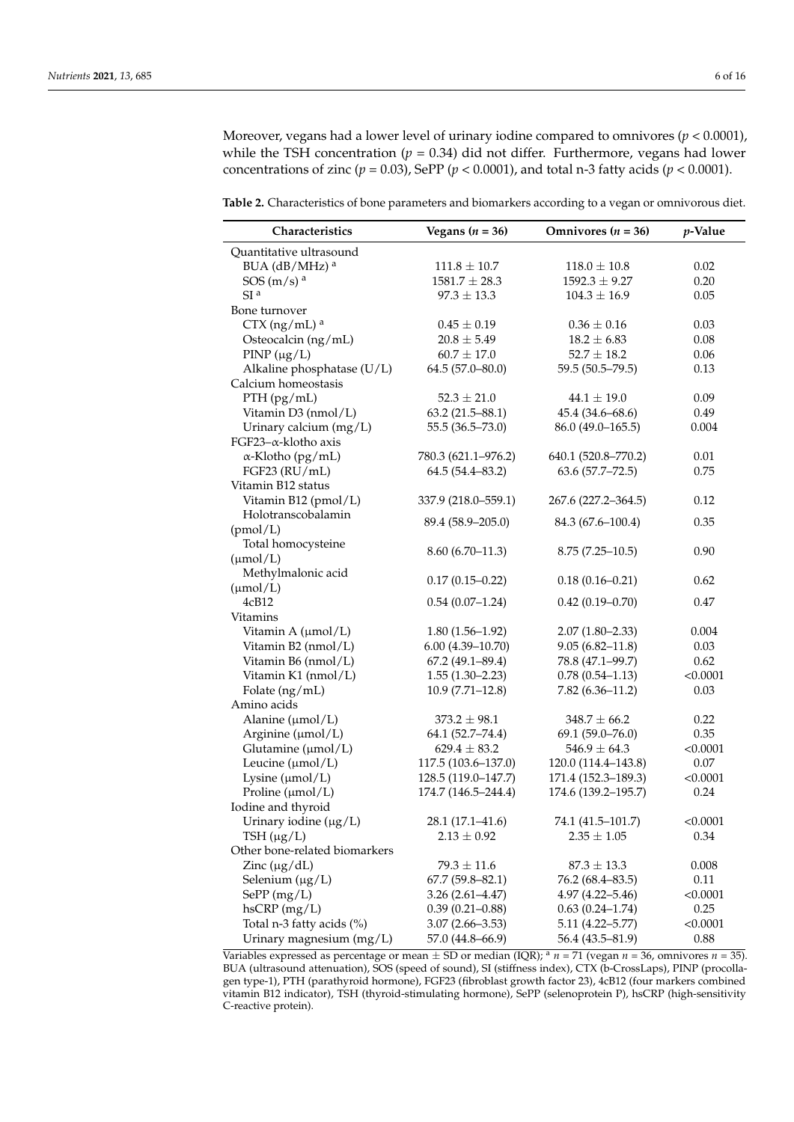Moreover, vegans had a lower level of urinary iodine compared to omnivores  $(p < 0.0001)$ , while the TSH concentration ( $p = 0.34$ ) did not differ. Furthermore, vegans had lower concentrations of zinc ( $p = 0.03$ ), SePP ( $p < 0.0001$ ), and total n-3 fatty acids ( $p < 0.0001$ ).

<span id="page-6-0"></span>**Table 2.** Characteristics of bone parameters and biomarkers according to a vegan or omnivorous diet.

| Characteristics               | Vegans ( $n = 36$ ) | Omnivores ( $n = 36$ ) | p-Value  |
|-------------------------------|---------------------|------------------------|----------|
| Quantitative ultrasound       |                     |                        |          |
| BUA (dB/MHz) <sup>a</sup>     | $111.8 \pm 10.7$    | $118.0 \pm 10.8$       | 0.02     |
| SOS(m/s) <sup>a</sup>         | $1581.7 \pm 28.3$   | $1592.3 \pm 9.27$      | 0.20     |
| SI <sup>a</sup>               | $97.3 \pm 13.3$     | $104.3 \pm 16.9$       | 0.05     |
| Bone turnover                 |                     |                        |          |
| $CTX$ (ng/mL) <sup>a</sup>    | $0.45 \pm 0.19$     | $0.36 \pm 0.16$        | 0.03     |
| Osteocalcin (ng/mL)           | $20.8 \pm 5.49$     | $18.2 \pm 6.83$        | 0.08     |
| $PINP(\mu g/L)$               | $60.7 \pm 17.0$     | $52.7 \pm 18.2$        | 0.06     |
| Alkaline phosphatase (U/L)    | $64.5(57.0-80.0)$   | 59.5 (50.5-79.5)       | 0.13     |
| Calcium homeostasis           |                     |                        |          |
| PTH (pg/mL)                   | $52.3 \pm 21.0$     | $44.1 \pm 19.0$        | 0.09     |
| Vitamin D3 (nmol/L)           | $63.2(21.5 - 88.1)$ | 45.4 (34.6-68.6)       | 0.49     |
| Urinary calcium (mg/L)        | 55.5 (36.5-73.0)    | 86.0 (49.0-165.5)      | 0.004    |
| FGF23- $\alpha$ -klotho axis  |                     |                        |          |
| $\alpha$ -Klotho (pg/mL)      | 780.3 (621.1-976.2) | 640.1 (520.8-770.2)    | 0.01     |
| FGF23 (RU/mL)                 | 64.5 (54.4-83.2)    | $63.6(57.7 - 72.5)$    | 0.75     |
| Vitamin B12 status            |                     |                        |          |
| Vitamin B12 (pmol/L)          | 337.9 (218.0–559.1) | 267.6 (227.2–364.5)    | 0.12     |
| Holotranscobalamin            |                     |                        |          |
| (pmol/L)                      | 89.4 (58.9-205.0)   | 84.3 (67.6-100.4)      | 0.35     |
| Total homocysteine            |                     |                        |          |
| $(\mu mol/L)$                 | $8.60(6.70-11.3)$   | $8.75(7.25-10.5)$      | 0.90     |
| Methylmalonic acid            |                     |                        |          |
| $(\mu mol/L)$                 | $0.17(0.15 - 0.22)$ | $0.18(0.16 - 0.21)$    | 0.62     |
| 4cB12                         | $0.54(0.07-1.24)$   | $0.42(0.19 - 0.70)$    | 0.47     |
| Vitamins                      |                     |                        |          |
| Vitamin A (µmol/L)            | $1.80(1.56-1.92)$   | $2.07(1.80-2.33)$      | 0.004    |
| Vitamin B2 (nmol/L)           | $6.00(4.39-10.70)$  | $9.05(6.82 - 11.8)$    | 0.03     |
| Vitamin B6 (nmol/L)           | $67.2(49.1 - 89.4)$ | 78.8 (47.1-99.7)       | 0.62     |
| Vitamin K1 (nmol/L)           | $1.55(1.30-2.23)$   | $0.78(0.54 - 1.13)$    | < 0.0001 |
| Folate (ng/mL)                | $10.9(7.71-12.8)$   | $7.82(6.36 - 11.2)$    | 0.03     |
| Amino acids                   |                     |                        |          |
| Alanine ( $\mu$ mol/L)        | $373.2 \pm 98.1$    | $348.7 \pm 66.2$       | 0.22     |
| Arginine (µmol/L)             | 64.1 (52.7-74.4)    | $69.1(59.0 - 76.0)$    | 0.35     |
| Glutamine ( $\mu$ mol/L)      | $629.4 \pm 83.2$    | $546.9 \pm 64.3$       | < 0.0001 |
| Leucine $(\mu mol/L)$         | 117.5 (103.6-137.0) | 120.0 (114.4-143.8)    | 0.07     |
| Lysine $(\mu mol/L)$          | 128.5 (119.0-147.7) | 171.4 (152.3-189.3)    | < 0.0001 |
| Proline ( $\mu$ mol/L)        | 174.7 (146.5-244.4) | 174.6 (139.2-195.7)    | 0.24     |
| Iodine and thyroid            |                     |                        |          |
| Urinary iodine $(\mu g/L)$    | 28.1 (17.1–41.6)    | 74.1 (41.5–101.7)      | < 0.0001 |
| TSH $(\mu g/L)$               | $2.13 \pm 0.92$     | $2.35 \pm 1.05$        | 0.34     |
| Other bone-related biomarkers |                     |                        |          |
| Zinc $(\mu g/dL)$             | $79.3 \pm 11.6$     | $87.3 \pm 13.3$        | 0.008    |
| Selenium $(\mu g/L)$          | $67.7(59.8-82.1)$   | 76.2 (68.4–83.5)       | 0.11     |
| $SePP$ (mg/L)                 | $3.26(2.61 - 4.47)$ | $4.97(4.22 - 5.46)$    | < 0.0001 |
| $h$ s $CRP$ (mg/L)            | $0.39(0.21-0.88)$   | $0.63(0.24 - 1.74)$    | 0.25     |
| Total n-3 fatty acids (%)     | $3.07(2.66 - 3.53)$ | $5.11(4.22 - 5.77)$    | < 0.0001 |
| Urinary magnesium (mg/L)      | 57.0 (44.8-66.9)    | 56.4 (43.5-81.9)       | 0.88     |

Variables expressed as percentage or mean  $\pm$  SD or median (IQR); <sup>a</sup>  $n = 71$  (vegan  $n = 36$ , omnivores  $n = 35$ ). BUA (ultrasound attenuation), SOS (speed of sound), SI (stiffness index), CTX (b-CrossLaps), PINP (procollagen type-1), PTH (parathyroid hormone), FGF23 (fibroblast growth factor 23), 4cB12 (four markers combined vitamin B12 indicator), TSH (thyroid-stimulating hormone), SePP (selenoprotein P), hsCRP (high-sensitivity C-reactive protein).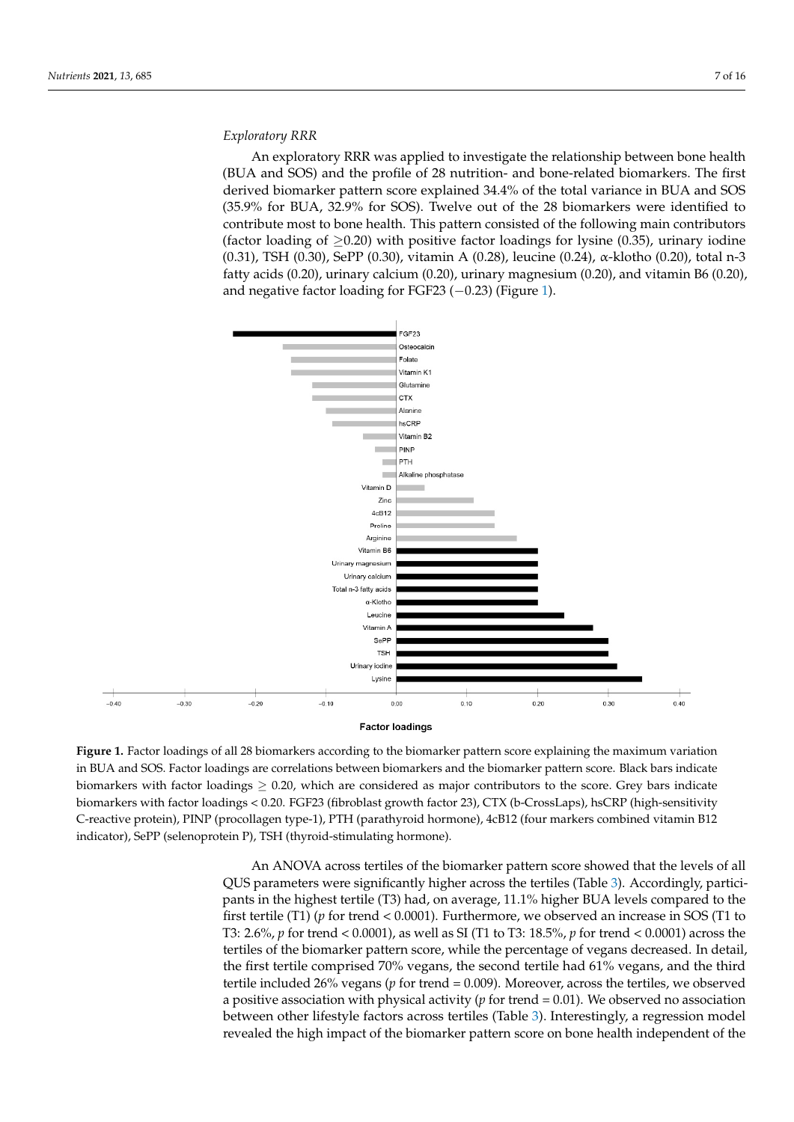#### *Exploratory RRR*

An exploratory RRR was applied to investigate the relationship between bone health (BUA and SOS) and the profile of 28 nutrition- and bone-related biomarkers. The first derived biomarker pattern score explained 34.4% of the total variance in BUA and SOS (35.9% for BUA, 32.9% for SOS). Twelve out of the 28 biomarkers were identified to contribute most to bone health. This pattern consisted of the following main contributors (factor loading of  $\geq$ 0.20) with positive factor loadings for lysine (0.35), urinary iodine (0.31), TSH (0.30), SePP (0.30), vitamin A (0.28), leucine (0.24), α-klotho (0.20), total n-3 fatty acids (0.20), urinary calcium (0.20), urinary magnesium (0.20), and vitamin B6 (0.20), and negative factor loading for FGF23 (−0.23) (Figure [1\)](#page-7-0).

<span id="page-7-0"></span>

#### **Factor loadings**

**Figure 1.** Factor loadings of all 28 biomarkers according to the biomarker pattern score explaining the maximum variation in BUA and SOS. Factor loadings are correlations between biomarkers and the biomarker pattern score. Black bars indicate biomarkers with factor loadings  $\geq 0.20$ , which are considered as major contributors to the score. Grey bars indicate biomarkers with factor loadings < 0.20. FGF23 (fibroblast growth factor 23), CTX (b-CrossLaps), hsCRP (high-sensitivity C-reactive protein), PINP (procollagen type-1), PTH (parathyroid hormone), 4cB12 (four markers combined vitamin B12 indicator), SePP (selenoprotein P), TSH (thyroid-stimulating hormone).

vitamin B12 indicator), SePP (selenoprotein P), TSH (thyroid-stimulating hormone). QUS parameters were significantly higher across the tertiles (Table [3\)](#page-8-0). Accordingly, partici-<br> $\frac{1}{2}$ first tertile (T1) (*p* for trend < 0.0001). Furthermore, we observed an increase in SOS (T1 to T3: 2.6%, *p* for trend < 0.0001), as well as SI (T1 to T3: 18.5%, *p* for trend < 0.0001) across the tertiles of the biomarker pattern score, while the percentage of vegans decreased. In detail, the first tertile comprised 70% vegans, the second tertile had 61% vegans, and the third tertile included 26% vegans (*p* for trend = 0.009). Moreover, across the tertiles, we observed a positive association with physical activity ( $p$  for trend =  $0.01$ ). We observed no association between other lifestyle factors across tertiles (Table 3). Interestingly, a regression model revealed the high impact of the biomarker pattern score on bone health independent of the An ANOVA across tertiles of the biomarker pattern score showed that the levels of all pants in the highest tertile (T3) had, on average, 11.1% higher BUA levels compared to the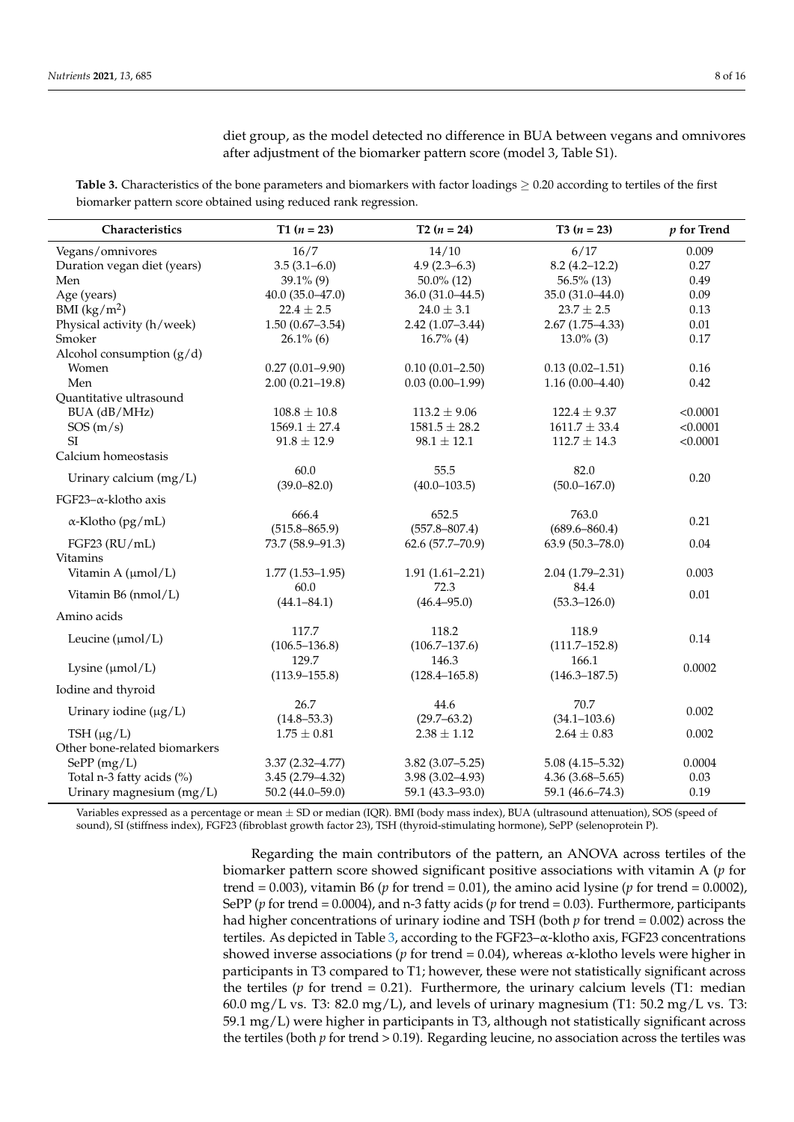diet group, as the model detected no difference in BUA between vegans and omnivores after adjustment of the biomarker pattern score (model 3, Table S1).

<span id="page-8-0"></span>**Table 3.** Characteristics of the bone parameters and biomarkers with factor loadings  $\geq 0.20$  according to tertiles of the first biomarker pattern score obtained using reduced rank regression.

| Characteristics               | $T1 (n = 23)$       | $T2(n = 24)$        | T3 $(n = 23)$              | $p$ for Trend |  |
|-------------------------------|---------------------|---------------------|----------------------------|---------------|--|
| Vegans/omnivores              | 16/7                | 14/10               | 6/17                       | 0.009         |  |
| Duration vegan diet (years)   | $3.5(3.1 - 6.0)$    | $4.9(2.3-6.3)$      | $8.2(4.2 - 12.2)$          | 0.27          |  |
| Men                           | $39.1\%$ (9)        | $50.0\%$ (12)       | $56.5\%$ (13)              | 0.49          |  |
| Age (years)                   | $40.0(35.0-47.0)$   | $36.0(31.0-44.5)$   | 35.0 (31.0-44.0)           | 0.09          |  |
| BMI $(kg/m^2)$                | $22.4 \pm 2.5$      | $24.0 \pm 3.1$      | $23.7 \pm 2.5$             | 0.13          |  |
| Physical activity (h/week)    | $1.50(0.67 - 3.54)$ | $2.42(1.07-3.44)$   | $2.67(1.75-4.33)$          | 0.01          |  |
| Smoker                        | $26.1\%$ (6)        | $16.7\%$ (4)        | $13.0\%$ (3)               | 0.17          |  |
| Alcohol consumption $(g/d)$   |                     |                     |                            |               |  |
| Women                         | $0.27(0.01 - 9.90)$ | $0.10(0.01 - 2.50)$ | $0.13(0.02 - 1.51)$        | 0.16          |  |
| Men                           | $2.00(0.21 - 19.8)$ | $0.03(0.00-1.99)$   | $1.16(0.00-4.40)$          | 0.42          |  |
| Quantitative ultrasound       |                     |                     |                            |               |  |
| BUA (dB/MHz)                  | $108.8 \pm 10.8$    | $113.2 \pm 9.06$    | $122.4 \pm 9.37$           | < 0.0001      |  |
| SOS(m/s)                      | $1569.1 \pm 27.4$   | $1581.5 \pm 28.2$   | $1611.7 \pm 33.4$          | < 0.0001      |  |
| SI                            | $91.8 \pm 12.9$     | $98.1 \pm 12.1$     | $112.7 \pm 14.3$           | < 0.0001      |  |
| Calcium homeostasis           |                     |                     |                            |               |  |
| Urinary calcium (mg/L)        | 60.0                | 55.5                | 82.0                       | 0.20          |  |
|                               | $(39.0 - 82.0)$     | $(40.0 - 103.5)$    | $(50.0 - 167.0)$           |               |  |
| FGF23- $\alpha$ -klotho axis  |                     |                     |                            |               |  |
| $\alpha$ -Klotho (pg/mL)      | 666.4               | 652.5               | 763.0                      | 0.21          |  |
|                               | $(515.8 - 865.9)$   | $(557.8 - 807.4)$   | $(689.6 - 860.4)$          |               |  |
| FGF23 (RU/mL)                 | 73.7 (58.9-91.3)    | 62.6 (57.7-70.9)    | 63.9 (50.3-78.0)           | 0.04          |  |
| <b>Vitamins</b>               |                     |                     |                            |               |  |
| Vitamin A (µmol/L)            | $1.77(1.53 - 1.95)$ | $1.91(1.61 - 2.21)$ | $2.04(1.79 - 2.31)$        | 0.003         |  |
| Vitamin B6 (nmol/L)           | 60.0                | 72.3                | 84.4                       | 0.01          |  |
|                               | $(44.1 - 84.1)$     | $(46.4 - 95.0)$     | $(53.3 - 126.0)$           |               |  |
| Amino acids                   |                     |                     |                            |               |  |
| Leucine $(\mu mol/L)$         | 117.7               | 118.2               | 118.9<br>$(111.7 - 152.8)$ | 0.14          |  |
|                               | $(106.5 - 136.8)$   | $(106.7 - 137.6)$   |                            |               |  |
| Lysine $(\mu mol/L)$          | 129.7               | 146.3               | 166.1                      | 0.0002        |  |
|                               | $(113.9 - 155.8)$   | $(128.4 - 165.8)$   | $(146.3 - 187.5)$          |               |  |
| Iodine and thyroid            |                     |                     |                            |               |  |
| Urinary iodine $(\mu g/L)$    | 26.7                | 44.6                | 70.7                       | 0.002         |  |
|                               | $(14.8 - 53.3)$     | $(29.7 - 63.2)$     | $(34.1 - 103.6)$           |               |  |
| TSH $(\mu g/L)$               | $1.75 \pm 0.81$     | $2.38 \pm 1.12$     | $2.64 \pm 0.83$            | 0.002         |  |
| Other bone-related biomarkers |                     |                     |                            |               |  |
| SePP(mg/L)                    | $3.37(2.32 - 4.77)$ | $3.82(3.07 - 5.25)$ | $5.08(4.15 - 5.32)$        | 0.0004        |  |
| Total n-3 fatty acids (%)     | $3.45(2.79 - 4.32)$ | $3.98(3.02 - 4.93)$ | $4.36(3.68 - 5.65)$        | 0.03          |  |
| Urinary magnesium (mg/L)      | $50.2(44.0 - 59.0)$ | 59.1 (43.3-93.0)    | 59.1 (46.6-74.3)           | 0.19          |  |

Variables expressed as a percentage or mean  $\pm$  SD or median (IQR). BMI (body mass index), BUA (ultrasound attenuation), SOS (speed of sound), SI (stiffness index), FGF23 (fibroblast growth factor 23), TSH (thyroid-stimulating hormone), SePP (selenoprotein P).

> Regarding the main contributors of the pattern, an ANOVA across tertiles of the biomarker pattern score showed significant positive associations with vitamin A (*p* for trend =  $0.003$ ), vitamin B6 ( $p$  for trend =  $0.01$ ), the amino acid lysine ( $p$  for trend =  $0.0002$ ), SePP (*p* for trend = 0.0004), and n-3 fatty acids (*p* for trend = 0.03). Furthermore, participants had higher concentrations of urinary iodine and TSH (both *p* for trend = 0.002) across the tertiles. As depicted in Table [3,](#page-8-0) according to the FGF23 $-\alpha$ -klotho axis, FGF23 concentrations showed inverse associations ( $p$  for trend = 0.04), whereas  $\alpha$ -klotho levels were higher in participants in T3 compared to T1; however, these were not statistically significant across the tertiles ( $p$  for trend = 0.21). Furthermore, the urinary calcium levels (T1: median 60.0 mg/L vs. T3: 82.0 mg/L), and levels of urinary magnesium (T1:  $50.2 \text{ mg/L}$  vs. T3: 59.1 mg/L) were higher in participants in T3, although not statistically significant across the tertiles (both *p* for trend > 0.19). Regarding leucine, no association across the tertiles was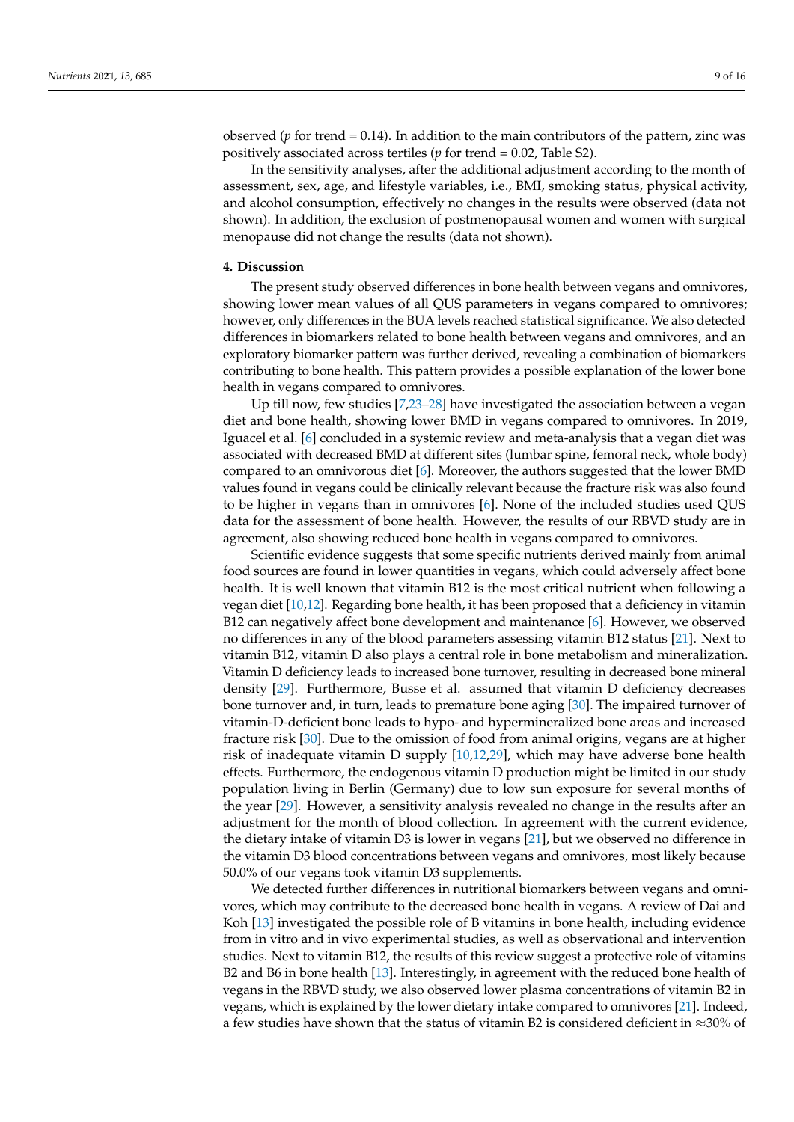observed (*p* for trend = 0.14). In addition to the main contributors of the pattern, zinc was positively associated across tertiles (*p* for trend = 0.02, Table S2).

In the sensitivity analyses, after the additional adjustment according to the month of assessment, sex, age, and lifestyle variables, i.e., BMI, smoking status, physical activity, and alcohol consumption, effectively no changes in the results were observed (data not shown). In addition, the exclusion of postmenopausal women and women with surgical menopause did not change the results (data not shown).

#### **4. Discussion**

The present study observed differences in bone health between vegans and omnivores, showing lower mean values of all QUS parameters in vegans compared to omnivores; however, only differences in the BUA levels reached statistical significance. We also detected differences in biomarkers related to bone health between vegans and omnivores, and an exploratory biomarker pattern was further derived, revealing a combination of biomarkers contributing to bone health. This pattern provides a possible explanation of the lower bone health in vegans compared to omnivores.

Up till now, few studies [\[7,](#page-13-6)[23–](#page-14-9)[28\]](#page-14-10) have investigated the association between a vegan diet and bone health, showing lower BMD in vegans compared to omnivores. In 2019, Iguacel et al. [\[6\]](#page-13-5) concluded in a systemic review and meta-analysis that a vegan diet was associated with decreased BMD at different sites (lumbar spine, femoral neck, whole body) compared to an omnivorous diet [\[6\]](#page-13-5). Moreover, the authors suggested that the lower BMD values found in vegans could be clinically relevant because the fracture risk was also found to be higher in vegans than in omnivores [\[6\]](#page-13-5). None of the included studies used QUS data for the assessment of bone health. However, the results of our RBVD study are in agreement, also showing reduced bone health in vegans compared to omnivores.

Scientific evidence suggests that some specific nutrients derived mainly from animal food sources are found in lower quantities in vegans, which could adversely affect bone health. It is well known that vitamin B12 is the most critical nutrient when following a vegan diet [\[10,](#page-13-9)[12\]](#page-13-11). Regarding bone health, it has been proposed that a deficiency in vitamin B12 can negatively affect bone development and maintenance [\[6\]](#page-13-5). However, we observed no differences in any of the blood parameters assessing vitamin B12 status [\[21\]](#page-14-7). Next to vitamin B12, vitamin D also plays a central role in bone metabolism and mineralization. Vitamin D deficiency leads to increased bone turnover, resulting in decreased bone mineral density [\[29\]](#page-14-11). Furthermore, Busse et al. assumed that vitamin D deficiency decreases bone turnover and, in turn, leads to premature bone aging [\[30\]](#page-14-12). The impaired turnover of vitamin-D-deficient bone leads to hypo- and hypermineralized bone areas and increased fracture risk [\[30\]](#page-14-12). Due to the omission of food from animal origins, vegans are at higher risk of inadequate vitamin D supply [\[10,](#page-13-9)[12](#page-13-11)[,29\]](#page-14-11), which may have adverse bone health effects. Furthermore, the endogenous vitamin D production might be limited in our study population living in Berlin (Germany) due to low sun exposure for several months of the year [\[29\]](#page-14-11). However, a sensitivity analysis revealed no change in the results after an adjustment for the month of blood collection. In agreement with the current evidence, the dietary intake of vitamin D3 is lower in vegans [\[21\]](#page-14-7), but we observed no difference in the vitamin D3 blood concentrations between vegans and omnivores, most likely because 50.0% of our vegans took vitamin D3 supplements.

We detected further differences in nutritional biomarkers between vegans and omnivores, which may contribute to the decreased bone health in vegans. A review of Dai and Koh [\[13\]](#page-13-12) investigated the possible role of B vitamins in bone health, including evidence from in vitro and in vivo experimental studies, as well as observational and intervention studies. Next to vitamin B12, the results of this review suggest a protective role of vitamins B2 and B6 in bone health [\[13\]](#page-13-12). Interestingly, in agreement with the reduced bone health of vegans in the RBVD study, we also observed lower plasma concentrations of vitamin B2 in vegans, which is explained by the lower dietary intake compared to omnivores [\[21\]](#page-14-7). Indeed, a few studies have shown that the status of vitamin B2 is considered deficient in  $\approx$ 30% of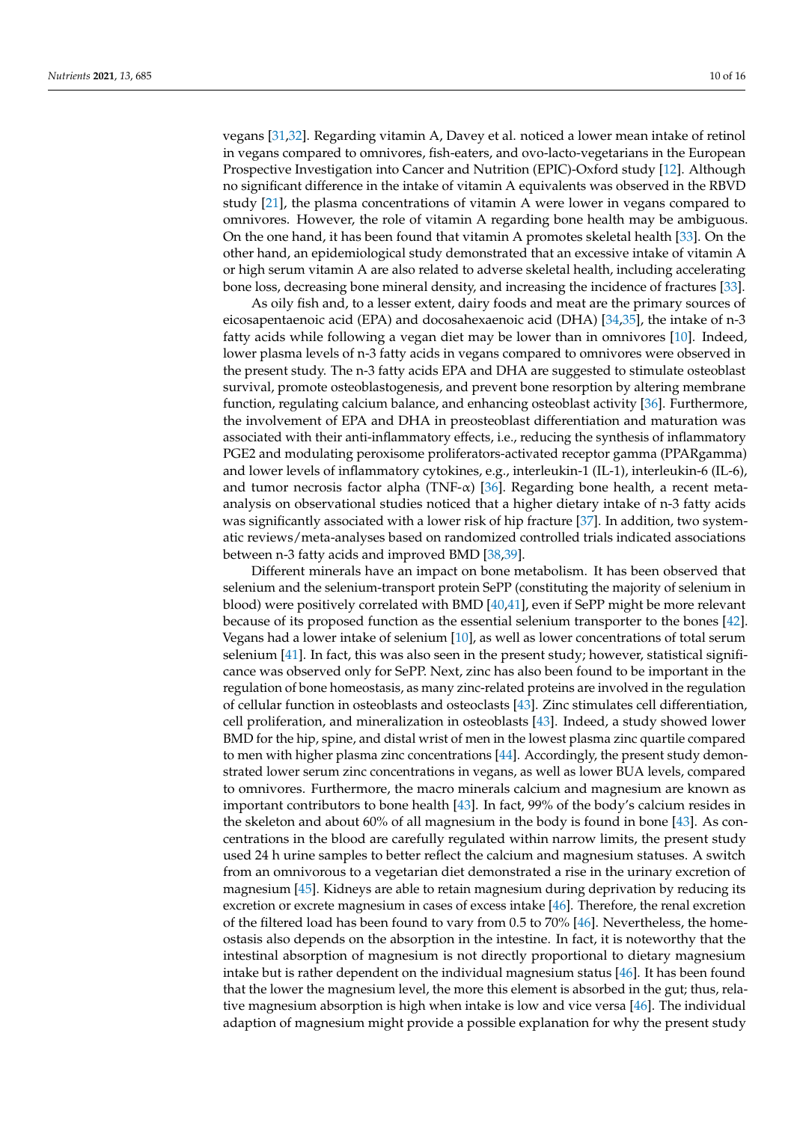vegans [\[31,](#page-14-13)[32\]](#page-14-14). Regarding vitamin A, Davey et al. noticed a lower mean intake of retinol in vegans compared to omnivores, fish-eaters, and ovo-lacto-vegetarians in the European Prospective Investigation into Cancer and Nutrition (EPIC)-Oxford study [\[12\]](#page-13-11). Although no significant difference in the intake of vitamin A equivalents was observed in the RBVD study [\[21\]](#page-14-7), the plasma concentrations of vitamin A were lower in vegans compared to omnivores. However, the role of vitamin A regarding bone health may be ambiguous. On the one hand, it has been found that vitamin A promotes skeletal health [\[33\]](#page-14-15). On the

bone loss, decreasing bone mineral density, and increasing the incidence of fractures [\[33\]](#page-14-15). As oily fish and, to a lesser extent, dairy foods and meat are the primary sources of eicosapentaenoic acid (EPA) and docosahexaenoic acid (DHA) [\[34](#page-14-16)[,35\]](#page-14-17), the intake of n-3 fatty acids while following a vegan diet may be lower than in omnivores [\[10\]](#page-13-9). Indeed, lower plasma levels of n-3 fatty acids in vegans compared to omnivores were observed in the present study. The n-3 fatty acids EPA and DHA are suggested to stimulate osteoblast survival, promote osteoblastogenesis, and prevent bone resorption by altering membrane function, regulating calcium balance, and enhancing osteoblast activity [\[36\]](#page-14-18). Furthermore, the involvement of EPA and DHA in preosteoblast differentiation and maturation was associated with their anti-inflammatory effects, i.e., reducing the synthesis of inflammatory PGE2 and modulating peroxisome proliferators-activated receptor gamma (PPARgamma) and lower levels of inflammatory cytokines, e.g., interleukin-1 (IL-1), interleukin-6 (IL-6), and tumor necrosis factor alpha (TNF- $\alpha$ ) [\[36\]](#page-14-18). Regarding bone health, a recent metaanalysis on observational studies noticed that a higher dietary intake of n-3 fatty acids was significantly associated with a lower risk of hip fracture [\[37\]](#page-14-19). In addition, two systematic reviews/meta-analyses based on randomized controlled trials indicated associations between n-3 fatty acids and improved BMD [\[38,](#page-14-20)[39\]](#page-15-0).

other hand, an epidemiological study demonstrated that an excessive intake of vitamin A or high serum vitamin A are also related to adverse skeletal health, including accelerating

Different minerals have an impact on bone metabolism. It has been observed that selenium and the selenium-transport protein SePP (constituting the majority of selenium in blood) were positively correlated with BMD [\[40,](#page-15-1)[41\]](#page-15-2), even if SePP might be more relevant because of its proposed function as the essential selenium transporter to the bones [\[42\]](#page-15-3). Vegans had a lower intake of selenium [\[10\]](#page-13-9), as well as lower concentrations of total serum selenium [\[41\]](#page-15-2). In fact, this was also seen in the present study; however, statistical significance was observed only for SePP. Next, zinc has also been found to be important in the regulation of bone homeostasis, as many zinc-related proteins are involved in the regulation of cellular function in osteoblasts and osteoclasts [\[43\]](#page-15-4). Zinc stimulates cell differentiation, cell proliferation, and mineralization in osteoblasts [\[43\]](#page-15-4). Indeed, a study showed lower BMD for the hip, spine, and distal wrist of men in the lowest plasma zinc quartile compared to men with higher plasma zinc concentrations [\[44\]](#page-15-5). Accordingly, the present study demonstrated lower serum zinc concentrations in vegans, as well as lower BUA levels, compared to omnivores. Furthermore, the macro minerals calcium and magnesium are known as important contributors to bone health [\[43\]](#page-15-4). In fact, 99% of the body's calcium resides in the skeleton and about 60% of all magnesium in the body is found in bone [\[43\]](#page-15-4). As concentrations in the blood are carefully regulated within narrow limits, the present study used 24 h urine samples to better reflect the calcium and magnesium statuses. A switch from an omnivorous to a vegetarian diet demonstrated a rise in the urinary excretion of magnesium [\[45\]](#page-15-6). Kidneys are able to retain magnesium during deprivation by reducing its excretion or excrete magnesium in cases of excess intake [\[46\]](#page-15-7). Therefore, the renal excretion of the filtered load has been found to vary from 0.5 to 70% [\[46\]](#page-15-7). Nevertheless, the homeostasis also depends on the absorption in the intestine. In fact, it is noteworthy that the intestinal absorption of magnesium is not directly proportional to dietary magnesium intake but is rather dependent on the individual magnesium status [\[46\]](#page-15-7). It has been found that the lower the magnesium level, the more this element is absorbed in the gut; thus, relative magnesium absorption is high when intake is low and vice versa [\[46\]](#page-15-7). The individual adaption of magnesium might provide a possible explanation for why the present study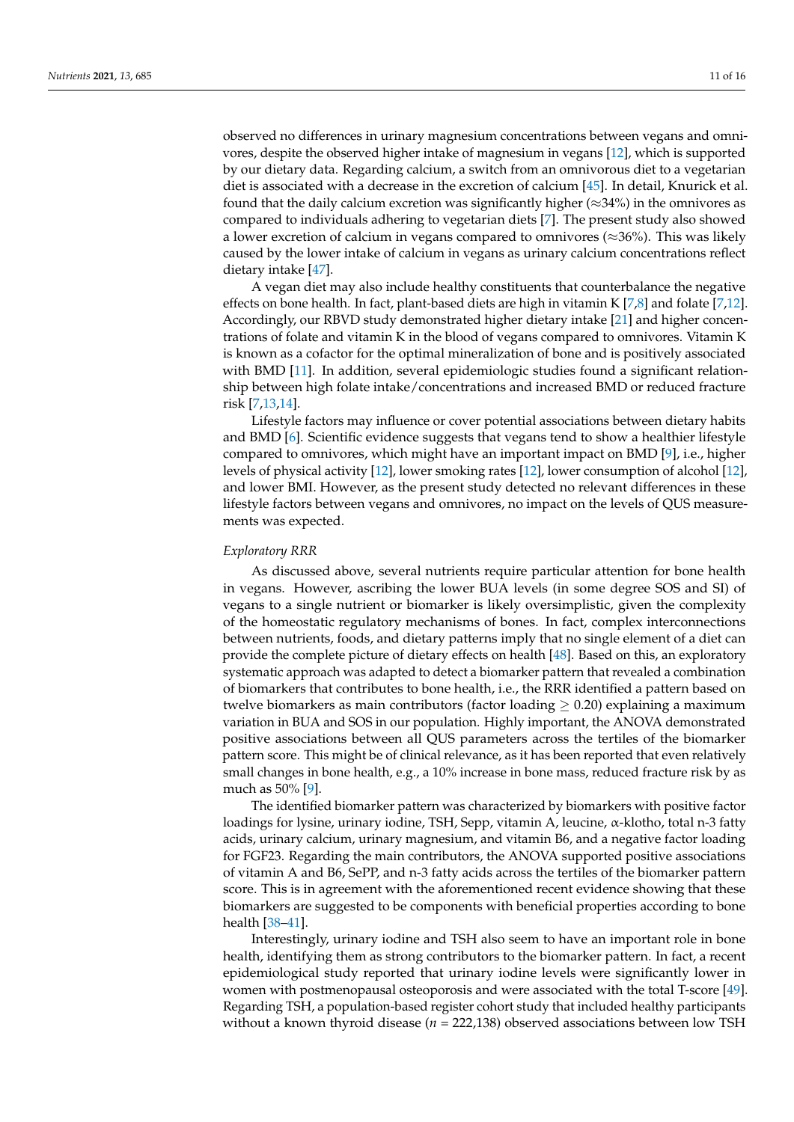observed no differences in urinary magnesium concentrations between vegans and omnivores, despite the observed higher intake of magnesium in vegans [\[12\]](#page-13-11), which is supported by our dietary data. Regarding calcium, a switch from an omnivorous diet to a vegetarian diet is associated with a decrease in the excretion of calcium [\[45\]](#page-15-6). In detail, Knurick et al. found that the daily calcium excretion was significantly higher ( $\approx$ 34%) in the omnivores as compared to individuals adhering to vegetarian diets [\[7\]](#page-13-6). The present study also showed a lower excretion of calcium in vegans compared to omnivores ( $\approx$ 36%). This was likely caused by the lower intake of calcium in vegans as urinary calcium concentrations reflect dietary intake [\[47\]](#page-15-8).

A vegan diet may also include healthy constituents that counterbalance the negative effects on bone health. In fact, plant-based diets are high in vitamin K [\[7,](#page-13-6)[8\]](#page-13-7) and folate [\[7](#page-13-6)[,12\]](#page-13-11). Accordingly, our RBVD study demonstrated higher dietary intake [\[21\]](#page-14-7) and higher concentrations of folate and vitamin K in the blood of vegans compared to omnivores. Vitamin K is known as a cofactor for the optimal mineralization of bone and is positively associated with BMD [\[11\]](#page-13-10). In addition, several epidemiologic studies found a significant relationship between high folate intake/concentrations and increased BMD or reduced fracture risk [\[7,](#page-13-6)[13,](#page-13-12)[14\]](#page-14-0).

Lifestyle factors may influence or cover potential associations between dietary habits and BMD [\[6\]](#page-13-5). Scientific evidence suggests that vegans tend to show a healthier lifestyle compared to omnivores, which might have an important impact on BMD [\[9\]](#page-13-8), i.e., higher levels of physical activity [\[12\]](#page-13-11), lower smoking rates [\[12\]](#page-13-11), lower consumption of alcohol [\[12\]](#page-13-11), and lower BMI. However, as the present study detected no relevant differences in these lifestyle factors between vegans and omnivores, no impact on the levels of QUS measurements was expected.

#### *Exploratory RRR*

As discussed above, several nutrients require particular attention for bone health in vegans. However, ascribing the lower BUA levels (in some degree SOS and SI) of vegans to a single nutrient or biomarker is likely oversimplistic, given the complexity of the homeostatic regulatory mechanisms of bones. In fact, complex interconnections between nutrients, foods, and dietary patterns imply that no single element of a diet can provide the complete picture of dietary effects on health [\[48\]](#page-15-9). Based on this, an exploratory systematic approach was adapted to detect a biomarker pattern that revealed a combination of biomarkers that contributes to bone health, i.e., the RRR identified a pattern based on twelve biomarkers as main contributors (factor loading  $\geq$  0.20) explaining a maximum variation in BUA and SOS in our population. Highly important, the ANOVA demonstrated positive associations between all QUS parameters across the tertiles of the biomarker pattern score. This might be of clinical relevance, as it has been reported that even relatively small changes in bone health, e.g., a 10% increase in bone mass, reduced fracture risk by as much as 50% [\[9\]](#page-13-8).

The identified biomarker pattern was characterized by biomarkers with positive factor loadings for lysine, urinary iodine, TSH, Sepp, vitamin A, leucine, α-klotho, total n-3 fatty acids, urinary calcium, urinary magnesium, and vitamin B6, and a negative factor loading for FGF23. Regarding the main contributors, the ANOVA supported positive associations of vitamin A and B6, SePP, and n-3 fatty acids across the tertiles of the biomarker pattern score. This is in agreement with the aforementioned recent evidence showing that these biomarkers are suggested to be components with beneficial properties according to bone health [\[38–](#page-14-20)[41\]](#page-15-2).

Interestingly, urinary iodine and TSH also seem to have an important role in bone health, identifying them as strong contributors to the biomarker pattern. In fact, a recent epidemiological study reported that urinary iodine levels were significantly lower in women with postmenopausal osteoporosis and were associated with the total T-score [\[49\]](#page-15-10). Regarding TSH, a population-based register cohort study that included healthy participants without a known thyroid disease (*n* = 222,138) observed associations between low TSH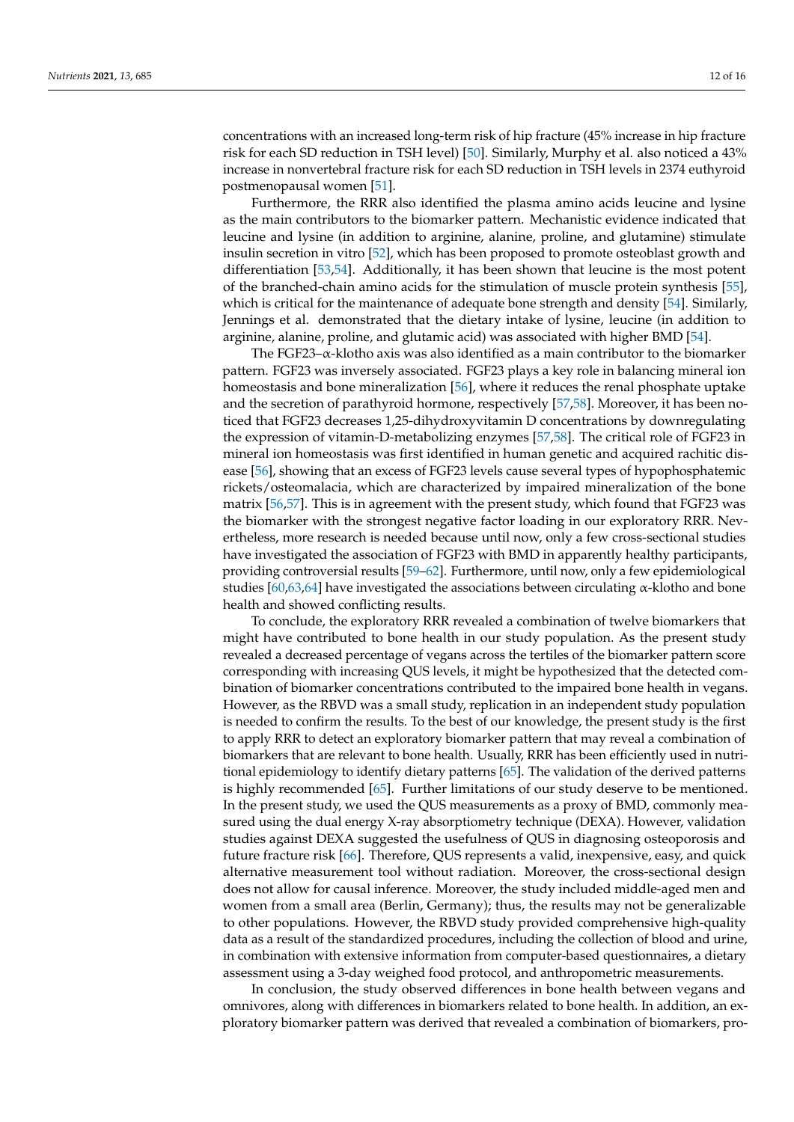concentrations with an increased long-term risk of hip fracture (45% increase in hip fracture risk for each SD reduction in TSH level) [\[50\]](#page-15-11). Similarly, Murphy et al. also noticed a 43% increase in nonvertebral fracture risk for each SD reduction in TSH levels in 2374 euthyroid postmenopausal women [\[51\]](#page-15-12).

Furthermore, the RRR also identified the plasma amino acids leucine and lysine as the main contributors to the biomarker pattern. Mechanistic evidence indicated that leucine and lysine (in addition to arginine, alanine, proline, and glutamine) stimulate insulin secretion in vitro [\[52\]](#page-15-13), which has been proposed to promote osteoblast growth and differentiation [\[53,](#page-15-14)[54\]](#page-15-15). Additionally, it has been shown that leucine is the most potent of the branched-chain amino acids for the stimulation of muscle protein synthesis [\[55\]](#page-15-16), which is critical for the maintenance of adequate bone strength and density [\[54\]](#page-15-15). Similarly, Jennings et al. demonstrated that the dietary intake of lysine, leucine (in addition to arginine, alanine, proline, and glutamic acid) was associated with higher BMD [\[54\]](#page-15-15).

The FGF23–α-klotho axis was also identified as a main contributor to the biomarker pattern. FGF23 was inversely associated. FGF23 plays a key role in balancing mineral ion homeostasis and bone mineralization [\[56\]](#page-15-17), where it reduces the renal phosphate uptake and the secretion of parathyroid hormone, respectively [\[57](#page-15-18)[,58\]](#page-15-19). Moreover, it has been noticed that FGF23 decreases 1,25-dihydroxyvitamin D concentrations by downregulating the expression of vitamin-D-metabolizing enzymes [\[57](#page-15-18)[,58\]](#page-15-19). The critical role of FGF23 in mineral ion homeostasis was first identified in human genetic and acquired rachitic disease [\[56\]](#page-15-17), showing that an excess of FGF23 levels cause several types of hypophosphatemic rickets/osteomalacia, which are characterized by impaired mineralization of the bone matrix [\[56](#page-15-17)[,57\]](#page-15-18). This is in agreement with the present study, which found that FGF23 was the biomarker with the strongest negative factor loading in our exploratory RRR. Nevertheless, more research is needed because until now, only a few cross-sectional studies have investigated the association of FGF23 with BMD in apparently healthy participants, providing controversial results [\[59–](#page-15-20)[62\]](#page-15-21). Furthermore, until now, only a few epidemiological studies [\[60,](#page-15-22)[63](#page-15-23)[,64\]](#page-15-24) have investigated the associations between circulating  $\alpha$ -klotho and bone health and showed conflicting results.

To conclude, the exploratory RRR revealed a combination of twelve biomarkers that might have contributed to bone health in our study population. As the present study revealed a decreased percentage of vegans across the tertiles of the biomarker pattern score corresponding with increasing QUS levels, it might be hypothesized that the detected combination of biomarker concentrations contributed to the impaired bone health in vegans. However, as the RBVD was a small study, replication in an independent study population is needed to confirm the results. To the best of our knowledge, the present study is the first to apply RRR to detect an exploratory biomarker pattern that may reveal a combination of biomarkers that are relevant to bone health. Usually, RRR has been efficiently used in nutritional epidemiology to identify dietary patterns [\[65\]](#page-16-0). The validation of the derived patterns is highly recommended [\[65\]](#page-16-0). Further limitations of our study deserve to be mentioned. In the present study, we used the QUS measurements as a proxy of BMD, commonly measured using the dual energy X-ray absorptiometry technique (DEXA). However, validation studies against DEXA suggested the usefulness of QUS in diagnosing osteoporosis and future fracture risk [\[66\]](#page-16-1). Therefore, QUS represents a valid, inexpensive, easy, and quick alternative measurement tool without radiation. Moreover, the cross-sectional design does not allow for causal inference. Moreover, the study included middle-aged men and women from a small area (Berlin, Germany); thus, the results may not be generalizable to other populations. However, the RBVD study provided comprehensive high-quality data as a result of the standardized procedures, including the collection of blood and urine, in combination with extensive information from computer-based questionnaires, a dietary assessment using a 3-day weighed food protocol, and anthropometric measurements.

In conclusion, the study observed differences in bone health between vegans and omnivores, along with differences in biomarkers related to bone health. In addition, an exploratory biomarker pattern was derived that revealed a combination of biomarkers, pro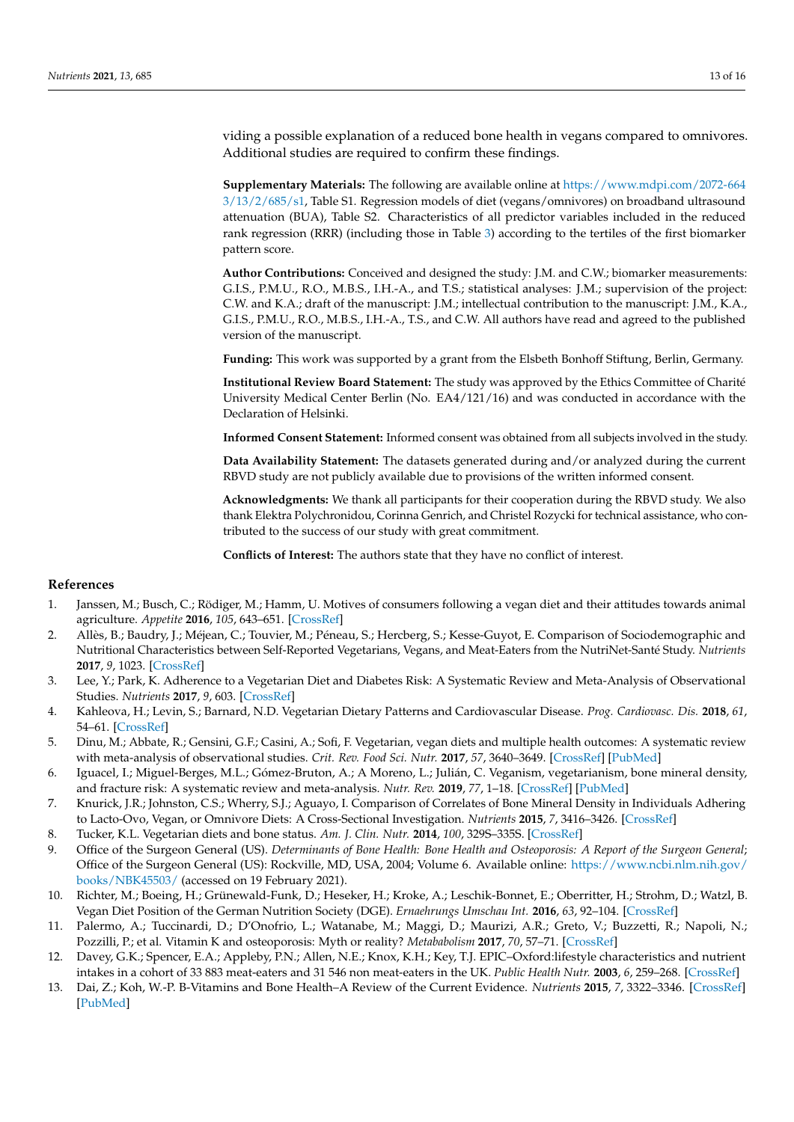viding a possible explanation of a reduced bone health in vegans compared to omnivores. Additional studies are required to confirm these findings.

**Supplementary Materials:** The following are available online at [https://www.mdpi.com/2072-664](https://www.mdpi.com/2072-6643/13/2/685/s1) [3/13/2/685/s1,](https://www.mdpi.com/2072-6643/13/2/685/s1) Table S1. Regression models of diet (vegans/omnivores) on broadband ultrasound attenuation (BUA), Table S2. Characteristics of all predictor variables included in the reduced rank regression (RRR) (including those in Table [3\)](#page-8-0) according to the tertiles of the first biomarker pattern score.

**Author Contributions:** Conceived and designed the study: J.M. and C.W.; biomarker measurements: G.I.S., P.M.U., R.O., M.B.S., I.H.-A., and T.S.; statistical analyses: J.M.; supervision of the project: C.W. and K.A.; draft of the manuscript: J.M.; intellectual contribution to the manuscript: J.M., K.A., G.I.S., P.M.U., R.O., M.B.S., I.H.-A., T.S., and C.W. All authors have read and agreed to the published version of the manuscript.

**Funding:** This work was supported by a grant from the Elsbeth Bonhoff Stiftung, Berlin, Germany.

**Institutional Review Board Statement:** The study was approved by the Ethics Committee of Charité University Medical Center Berlin (No. EA4/121/16) and was conducted in accordance with the Declaration of Helsinki.

**Informed Consent Statement:** Informed consent was obtained from all subjects involved in the study.

**Data Availability Statement:** The datasets generated during and/or analyzed during the current RBVD study are not publicly available due to provisions of the written informed consent.

**Acknowledgments:** We thank all participants for their cooperation during the RBVD study. We also thank Elektra Polychronidou, Corinna Genrich, and Christel Rozycki for technical assistance, who contributed to the success of our study with great commitment.

**Conflicts of Interest:** The authors state that they have no conflict of interest.

#### **References**

- <span id="page-13-0"></span>1. Janssen, M.; Busch, C.; Rödiger, M.; Hamm, U. Motives of consumers following a vegan diet and their attitudes towards animal agriculture. *Appetite* **2016**, *105*, 643–651. [\[CrossRef\]](http://doi.org/10.1016/j.appet.2016.06.039)
- <span id="page-13-1"></span>2. Allès, B.; Baudry, J.; Méjean, C.; Touvier, M.; Péneau, S.; Hercberg, S.; Kesse-Guyot, E. Comparison of Sociodemographic and Nutritional Characteristics between Self-Reported Vegetarians, Vegans, and Meat-Eaters from the NutriNet-Santé Study. *Nutrients* **2017**, *9*, 1023. [\[CrossRef\]](http://doi.org/10.3390/nu9091023)
- <span id="page-13-2"></span>3. Lee, Y.; Park, K. Adherence to a Vegetarian Diet and Diabetes Risk: A Systematic Review and Meta-Analysis of Observational Studies. *Nutrients* **2017**, *9*, 603. [\[CrossRef\]](http://doi.org/10.3390/nu9060603)
- <span id="page-13-3"></span>4. Kahleova, H.; Levin, S.; Barnard, N.D. Vegetarian Dietary Patterns and Cardiovascular Disease. *Prog. Cardiovasc. Dis.* **2018**, *61*, 54–61. [\[CrossRef\]](http://doi.org/10.1016/j.pcad.2018.05.002)
- <span id="page-13-4"></span>5. Dinu, M.; Abbate, R.; Gensini, G.F.; Casini, A.; Sofi, F. Vegetarian, vegan diets and multiple health outcomes: A systematic review with meta-analysis of observational studies. *Crit. Rev. Food Sci. Nutr.* **2017**, *57*, 3640–3649. [\[CrossRef\]](http://doi.org/10.1080/10408398.2016.1138447) [\[PubMed\]](http://www.ncbi.nlm.nih.gov/pubmed/26853923)
- <span id="page-13-5"></span>6. Iguacel, I.; Miguel-Berges, M.L.; Gómez-Bruton, A.; A Moreno, L.; Julián, C. Veganism, vegetarianism, bone mineral density, and fracture risk: A systematic review and meta-analysis. *Nutr. Rev.* **2019**, *77*, 1–18. [\[CrossRef\]](http://doi.org/10.1093/nutrit/nuy045) [\[PubMed\]](http://www.ncbi.nlm.nih.gov/pubmed/30376075)
- <span id="page-13-6"></span>7. Knurick, J.R.; Johnston, C.S.; Wherry, S.J.; Aguayo, I. Comparison of Correlates of Bone Mineral Density in Individuals Adhering to Lacto-Ovo, Vegan, or Omnivore Diets: A Cross-Sectional Investigation. *Nutrients* **2015**, *7*, 3416–3426. [\[CrossRef\]](http://doi.org/10.3390/nu7053416)
- <span id="page-13-7"></span>8. Tucker, K.L. Vegetarian diets and bone status. *Am. J. Clin. Nutr.* **2014**, *100*, 329S–335S. [\[CrossRef\]](http://doi.org/10.3945/ajcn.113.071621)
- <span id="page-13-8"></span>9. Office of the Surgeon General (US). *Determinants of Bone Health: Bone Health and Osteoporosis: A Report of the Surgeon General*; Office of the Surgeon General (US): Rockville, MD, USA, 2004; Volume 6. Available online: [https://www.ncbi.nlm.nih.gov/](https://www.ncbi.nlm.nih.gov/books/NBK45503/) [books/NBK45503/](https://www.ncbi.nlm.nih.gov/books/NBK45503/) (accessed on 19 February 2021).
- <span id="page-13-9"></span>10. Richter, M.; Boeing, H.; Grünewald-Funk, D.; Heseker, H.; Kroke, A.; Leschik-Bonnet, E.; Oberritter, H.; Strohm, D.; Watzl, B. Vegan Diet Position of the German Nutrition Society (DGE). *Ernaehrungs Umschau Int.* **2016**, *63*, 92–104. [\[CrossRef\]](http://doi.org/10.4455/eu.2016.021)
- <span id="page-13-10"></span>11. Palermo, A.; Tuccinardi, D.; D'Onofrio, L.; Watanabe, M.; Maggi, D.; Maurizi, A.R.; Greto, V.; Buzzetti, R.; Napoli, N.; Pozzilli, P.; et al. Vitamin K and osteoporosis: Myth or reality? *Metababolism* **2017**, *70*, 57–71. [\[CrossRef\]](http://doi.org/10.1016/j.metabol.2017.01.032)
- <span id="page-13-11"></span>12. Davey, G.K.; Spencer, E.A.; Appleby, P.N.; Allen, N.E.; Knox, K.H.; Key, T.J. EPIC–Oxford:lifestyle characteristics and nutrient intakes in a cohort of 33 883 meat-eaters and 31 546 non meat-eaters in the UK. *Public Health Nutr.* **2003**, *6*, 259–268. [\[CrossRef\]](http://doi.org/10.1079/PHN2002430)
- <span id="page-13-12"></span>13. Dai, Z.; Koh, W.-P. B-Vitamins and Bone Health–A Review of the Current Evidence. *Nutrients* **2015**, *7*, 3322–3346. [\[CrossRef\]](http://doi.org/10.3390/nu7053322) [\[PubMed\]](http://www.ncbi.nlm.nih.gov/pubmed/25961321)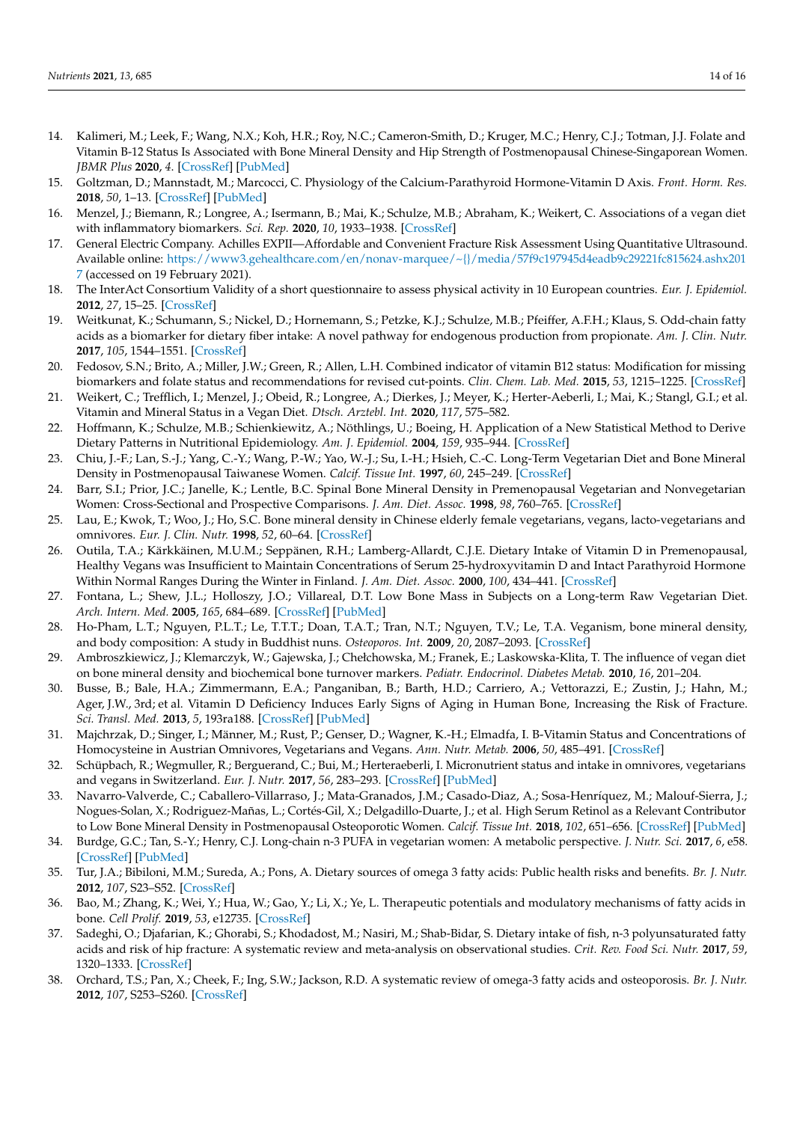- <span id="page-14-0"></span>14. Kalimeri, M.; Leek, F.; Wang, N.X.; Koh, H.R.; Roy, N.C.; Cameron-Smith, D.; Kruger, M.C.; Henry, C.J.; Totman, J.J. Folate and Vitamin B-12 Status Is Associated with Bone Mineral Density and Hip Strength of Postmenopausal Chinese-Singaporean Women. *JBMR Plus* **2020**, *4*. [\[CrossRef\]](http://doi.org/10.1002/jbm4.10399) [\[PubMed\]](http://www.ncbi.nlm.nih.gov/pubmed/33103028)
- <span id="page-14-1"></span>15. Goltzman, D.; Mannstadt, M.; Marcocci, C. Physiology of the Calcium-Parathyroid Hormone-Vitamin D Axis. *Front. Horm. Res.* **2018**, *50*, 1–13. [\[CrossRef\]](http://doi.org/10.1159/000486060) [\[PubMed\]](http://www.ncbi.nlm.nih.gov/pubmed/29597231)
- <span id="page-14-2"></span>16. Menzel, J.; Biemann, R.; Longree, A.; Isermann, B.; Mai, K.; Schulze, M.B.; Abraham, K.; Weikert, C. Associations of a vegan diet with inflammatory biomarkers. *Sci. Rep.* **2020**, *10*, 1933–1938. [\[CrossRef\]](http://doi.org/10.1038/s41598-020-58875-x)
- <span id="page-14-3"></span>17. General Electric Company. Achilles EXPII—Affordable and Convenient Fracture Risk Assessment Using Quantitative Ultrasound. Available online: [https://www3.gehealthcare.com/en/nonav-marquee/~{}/media/57f9c197945d4eadb9c29221fc815624.ashx201](https://www3.gehealthcare.com/en/nonav-marquee/~{}/media/57f9c197945d4eadb9c29221fc815624.ashx2017) [7](https://www3.gehealthcare.com/en/nonav-marquee/~{}/media/57f9c197945d4eadb9c29221fc815624.ashx2017) (accessed on 19 February 2021).
- <span id="page-14-4"></span>18. The InterAct Consortium Validity of a short questionnaire to assess physical activity in 10 European countries. *Eur. J. Epidemiol.* **2012**, *27*, 15–25. [\[CrossRef\]](http://doi.org/10.1007/s10654-011-9625-y)
- <span id="page-14-5"></span>19. Weitkunat, K.; Schumann, S.; Nickel, D.; Hornemann, S.; Petzke, K.J.; Schulze, M.B.; Pfeiffer, A.F.H.; Klaus, S. Odd-chain fatty acids as a biomarker for dietary fiber intake: A novel pathway for endogenous production from propionate. *Am. J. Clin. Nutr.* **2017**, *105*, 1544–1551. [\[CrossRef\]](http://doi.org/10.3945/ajcn.117.152702)
- <span id="page-14-6"></span>20. Fedosov, S.N.; Brito, A.; Miller, J.W.; Green, R.; Allen, L.H. Combined indicator of vitamin B12 status: Modification for missing biomarkers and folate status and recommendations for revised cut-points. *Clin. Chem. Lab. Med.* **2015**, *53*, 1215–1225. [\[CrossRef\]](http://doi.org/10.1515/cclm-2014-0818)
- <span id="page-14-7"></span>21. Weikert, C.; Trefflich, I.; Menzel, J.; Obeid, R.; Longree, A.; Dierkes, J.; Meyer, K.; Herter-Aeberli, I.; Mai, K.; Stangl, G.I.; et al. Vitamin and Mineral Status in a Vegan Diet. *Dtsch. Arztebl. Int.* **2020**, *117*, 575–582.
- <span id="page-14-8"></span>22. Hoffmann, K.; Schulze, M.B.; Schienkiewitz, A.; Nöthlings, U.; Boeing, H. Application of a New Statistical Method to Derive Dietary Patterns in Nutritional Epidemiology. *Am. J. Epidemiol.* **2004**, *159*, 935–944. [\[CrossRef\]](http://doi.org/10.1093/aje/kwh134)
- <span id="page-14-9"></span>23. Chiu, J.-F.; Lan, S.-J.; Yang, C.-Y.; Wang, P.-W.; Yao, W.-J.; Su, I.-H.; Hsieh, C.-C. Long-Term Vegetarian Diet and Bone Mineral Density in Postmenopausal Taiwanese Women. *Calcif. Tissue Int.* **1997**, *60*, 245–249. [\[CrossRef\]](http://doi.org/10.1007/PL00005812)
- 24. Barr, S.I.; Prior, J.C.; Janelle, K.; Lentle, B.C. Spinal Bone Mineral Density in Premenopausal Vegetarian and Nonvegetarian Women: Cross-Sectional and Prospective Comparisons. *J. Am. Diet. Assoc.* **1998**, *98*, 760–765. [\[CrossRef\]](http://doi.org/10.1016/S0002-8223(98)00172-2)
- 25. Lau, E.; Kwok, T.; Woo, J.; Ho, S.C. Bone mineral density in Chinese elderly female vegetarians, vegans, lacto-vegetarians and omnivores. *Eur. J. Clin. Nutr.* **1998**, *52*, 60–64. [\[CrossRef\]](http://doi.org/10.1038/sj.ejcn.1600516)
- 26. Outila, T.A.; Kärkkäinen, M.U.M.; Seppänen, R.H.; Lamberg-Allardt, C.J.E. Dietary Intake of Vitamin D in Premenopausal, Healthy Vegans was Insufficient to Maintain Concentrations of Serum 25-hydroxyvitamin D and Intact Parathyroid Hormone Within Normal Ranges During the Winter in Finland. *J. Am. Diet. Assoc.* **2000**, *100*, 434–441. [\[CrossRef\]](http://doi.org/10.1016/S0002-8223(00)00134-6)
- 27. Fontana, L.; Shew, J.L.; Holloszy, J.O.; Villareal, D.T. Low Bone Mass in Subjects on a Long-term Raw Vegetarian Diet. *Arch. Intern. Med.* **2005**, *165*, 684–689. [\[CrossRef\]](http://doi.org/10.1001/archinte.165.6.684) [\[PubMed\]](http://www.ncbi.nlm.nih.gov/pubmed/15795346)
- <span id="page-14-10"></span>28. Ho-Pham, L.T.; Nguyen, P.L.T.; Le, T.T.T.; Doan, T.A.T.; Tran, N.T.; Nguyen, T.V.; Le, T.A. Veganism, bone mineral density, and body composition: A study in Buddhist nuns. *Osteoporos. Int.* **2009**, *20*, 2087–2093. [\[CrossRef\]](http://doi.org/10.1007/s00198-009-0916-z)
- <span id="page-14-11"></span>29. Ambroszkiewicz, J.; Klemarczyk, W.; Gajewska, J.; Chełchowska, M.; Franek, E.; Laskowska-Klita, T. The influence of vegan diet on bone mineral density and biochemical bone turnover markers. *Pediatr. Endocrinol. Diabetes Metab.* **2010**, *16*, 201–204.
- <span id="page-14-12"></span>30. Busse, B.; Bale, H.A.; Zimmermann, E.A.; Panganiban, B.; Barth, H.D.; Carriero, A.; Vettorazzi, E.; Zustin, J.; Hahn, M.; Ager, J.W., 3rd; et al. Vitamin D Deficiency Induces Early Signs of Aging in Human Bone, Increasing the Risk of Fracture. *Sci. Transl. Med.* **2013**, *5*, 193ra188. [\[CrossRef\]](http://doi.org/10.1126/scitranslmed.3006286) [\[PubMed\]](http://www.ncbi.nlm.nih.gov/pubmed/23843449)
- <span id="page-14-13"></span>31. Majchrzak, D.; Singer, I.; Männer, M.; Rust, P.; Genser, D.; Wagner, K.-H.; Elmadfa, I. B-Vitamin Status and Concentrations of Homocysteine in Austrian Omnivores, Vegetarians and Vegans. *Ann. Nutr. Metab.* **2006**, *50*, 485–491. [\[CrossRef\]](http://doi.org/10.1159/000095828)
- <span id="page-14-14"></span>32. Schüpbach, R.; Wegmuller, R.; Berguerand, C.; Bui, M.; Herteraeberli, I. Micronutrient status and intake in omnivores, vegetarians and vegans in Switzerland. *Eur. J. Nutr.* **2017**, *56*, 283–293. [\[CrossRef\]](http://doi.org/10.1007/s00394-015-1079-7) [\[PubMed\]](http://www.ncbi.nlm.nih.gov/pubmed/26502280)
- <span id="page-14-15"></span>33. Navarro-Valverde, C.; Caballero-Villarraso, J.; Mata-Granados, J.M.; Casado-Diaz, A.; Sosa-Henríquez, M.; Malouf-Sierra, J.; Nogues-Solan, X.; Rodriguez-Mañas, L.; Cortés-Gil, X.; Delgadillo-Duarte, J.; et al. High Serum Retinol as a Relevant Contributor to Low Bone Mineral Density in Postmenopausal Osteoporotic Women. *Calcif. Tissue Int.* **2018**, *102*, 651–656. [\[CrossRef\]](http://doi.org/10.1007/s00223-017-0379-8) [\[PubMed\]](http://www.ncbi.nlm.nih.gov/pubmed/29294148)
- <span id="page-14-16"></span>34. Burdge, G.C.; Tan, S.-Y.; Henry, C.J. Long-chain n-3 PUFA in vegetarian women: A metabolic perspective. *J. Nutr. Sci.* **2017**, *6*, e58. [\[CrossRef\]](http://doi.org/10.1017/jns.2017.62) [\[PubMed\]](http://www.ncbi.nlm.nih.gov/pubmed/29209497)
- <span id="page-14-17"></span>35. Tur, J.A.; Bibiloni, M.M.; Sureda, A.; Pons, A. Dietary sources of omega 3 fatty acids: Public health risks and benefits. *Br. J. Nutr.* **2012**, *107*, S23–S52. [\[CrossRef\]](http://doi.org/10.1017/S0007114512001456)
- <span id="page-14-18"></span>36. Bao, M.; Zhang, K.; Wei, Y.; Hua, W.; Gao, Y.; Li, X.; Ye, L. Therapeutic potentials and modulatory mechanisms of fatty acids in bone. *Cell Prolif.* **2019**, *53*, e12735. [\[CrossRef\]](http://doi.org/10.1111/cpr.12735)
- <span id="page-14-19"></span>37. Sadeghi, O.; Djafarian, K.; Ghorabi, S.; Khodadost, M.; Nasiri, M.; Shab-Bidar, S. Dietary intake of fish, n-3 polyunsaturated fatty acids and risk of hip fracture: A systematic review and meta-analysis on observational studies. *Crit. Rev. Food Sci. Nutr.* **2017**, *59*, 1320–1333. [\[CrossRef\]](http://doi.org/10.1080/10408398.2017.1405908)
- <span id="page-14-20"></span>38. Orchard, T.S.; Pan, X.; Cheek, F.; Ing, S.W.; Jackson, R.D. A systematic review of omega-3 fatty acids and osteoporosis. *Br. J. Nutr.* **2012**, *107*, S253–S260. [\[CrossRef\]](http://doi.org/10.1017/S0007114512001638)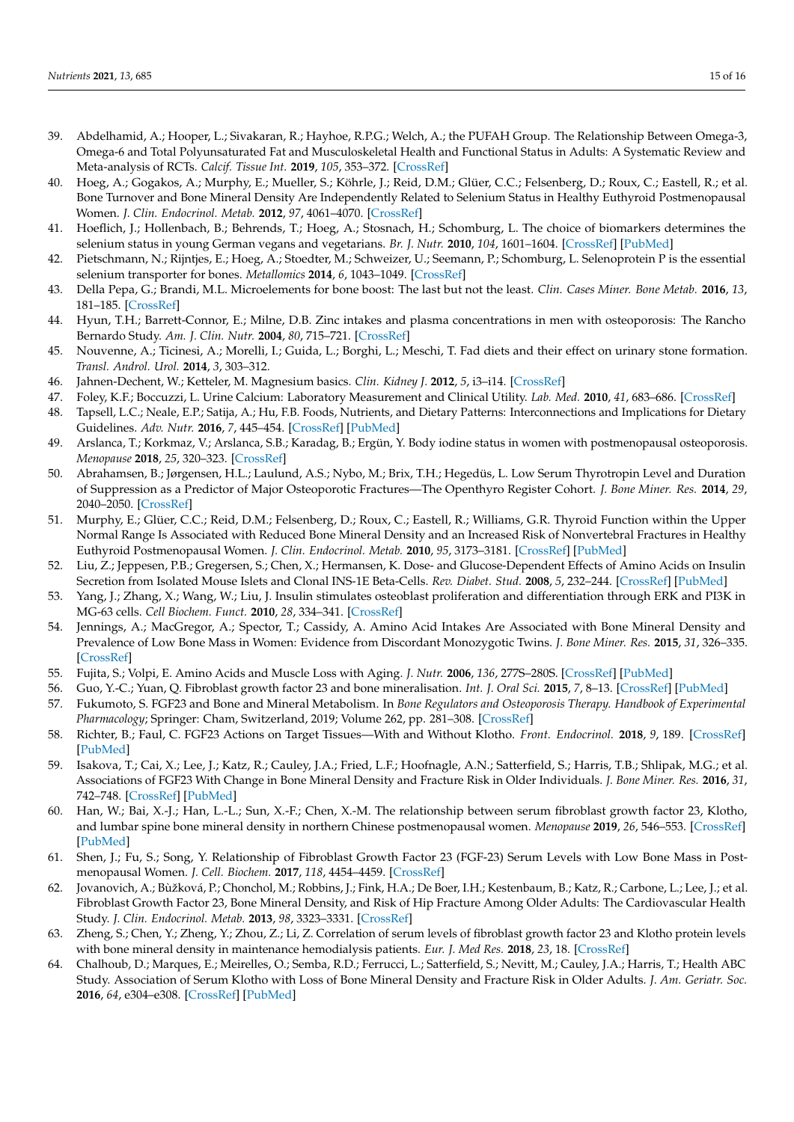- <span id="page-15-0"></span>39. Abdelhamid, A.; Hooper, L.; Sivakaran, R.; Hayhoe, R.P.G.; Welch, A.; the PUFAH Group. The Relationship Between Omega-3, Omega-6 and Total Polyunsaturated Fat and Musculoskeletal Health and Functional Status in Adults: A Systematic Review and Meta-analysis of RCTs. *Calcif. Tissue Int.* **2019**, *105*, 353–372. [\[CrossRef\]](http://doi.org/10.1007/s00223-019-00584-3)
- <span id="page-15-1"></span>40. Hoeg, A.; Gogakos, A.; Murphy, E.; Mueller, S.; Köhrle, J.; Reid, D.M.; Glüer, C.C.; Felsenberg, D.; Roux, C.; Eastell, R.; et al. Bone Turnover and Bone Mineral Density Are Independently Related to Selenium Status in Healthy Euthyroid Postmenopausal Women. *J. Clin. Endocrinol. Metab.* **2012**, *97*, 4061–4070. [\[CrossRef\]](http://doi.org/10.1210/jc.2012-2121)
- <span id="page-15-2"></span>41. Hoeflich, J.; Hollenbach, B.; Behrends, T.; Hoeg, A.; Stosnach, H.; Schomburg, L. The choice of biomarkers determines the selenium status in young German vegans and vegetarians. *Br. J. Nutr.* **2010**, *104*, 1601–1604. [\[CrossRef\]](http://doi.org/10.1017/S0007114510002618) [\[PubMed\]](http://www.ncbi.nlm.nih.gov/pubmed/20637135)
- <span id="page-15-3"></span>42. Pietschmann, N.; Rijntjes, E.; Hoeg, A.; Stoedter, M.; Schweizer, U.; Seemann, P.; Schomburg, L. Selenoprotein P is the essential selenium transporter for bones. *Metallomics* **2014**, *6*, 1043–1049. [\[CrossRef\]](http://doi.org/10.1039/C4MT00003J)
- <span id="page-15-4"></span>43. Della Pepa, G.; Brandi, M.L. Microelements for bone boost: The last but not the least. *Clin. Cases Miner. Bone Metab.* **2016**, *13*, 181–185. [\[CrossRef\]](http://doi.org/10.11138/ccmbm/2016.13.3.181)
- <span id="page-15-5"></span>44. Hyun, T.H.; Barrett-Connor, E.; Milne, D.B. Zinc intakes and plasma concentrations in men with osteoporosis: The Rancho Bernardo Study. *Am. J. Clin. Nutr.* **2004**, *80*, 715–721. [\[CrossRef\]](http://doi.org/10.1093/ajcn/80.3.715)
- <span id="page-15-6"></span>45. Nouvenne, A.; Ticinesi, A.; Morelli, I.; Guida, L.; Borghi, L.; Meschi, T. Fad diets and their effect on urinary stone formation. *Transl. Androl. Urol.* **2014**, *3*, 303–312.
- <span id="page-15-7"></span>46. Jahnen-Dechent, W.; Ketteler, M. Magnesium basics. *Clin. Kidney J.* **2012**, *5*, i3–i14. [\[CrossRef\]](http://doi.org/10.1093/ndtplus/sfr163)
- <span id="page-15-8"></span>47. Foley, K.F.; Boccuzzi, L. Urine Calcium: Laboratory Measurement and Clinical Utility. *Lab. Med.* **2010**, *41*, 683–686. [\[CrossRef\]](http://doi.org/10.1309/LM9SO94ZNBHEDNTM)
- <span id="page-15-9"></span>48. Tapsell, L.C.; Neale, E.P.; Satija, A.; Hu, F.B. Foods, Nutrients, and Dietary Patterns: Interconnections and Implications for Dietary Guidelines. *Adv. Nutr.* **2016**, *7*, 445–454. [\[CrossRef\]](http://doi.org/10.3945/an.115.011718) [\[PubMed\]](http://www.ncbi.nlm.nih.gov/pubmed/27184272)
- <span id="page-15-10"></span>49. Arslanca, T.; Korkmaz, V.; Arslanca, S.B.; Karadag, B.; Ergün, Y. Body iodine status in women with postmenopausal osteoporosis. *Menopause* **2018**, *25*, 320–323. [\[CrossRef\]](http://doi.org/10.1097/GME.0000000000000987)
- <span id="page-15-11"></span>50. Abrahamsen, B.; Jørgensen, H.L.; Laulund, A.S.; Nybo, M.; Brix, T.H.; Hegedüs, L. Low Serum Thyrotropin Level and Duration of Suppression as a Predictor of Major Osteoporotic Fractures—The Openthyro Register Cohort. *J. Bone Miner. Res.* **2014**, *29*, 2040–2050. [\[CrossRef\]](http://doi.org/10.1002/jbmr.2244)
- <span id="page-15-12"></span>51. Murphy, E.; Glüer, C.C.; Reid, D.M.; Felsenberg, D.; Roux, C.; Eastell, R.; Williams, G.R. Thyroid Function within the Upper Normal Range Is Associated with Reduced Bone Mineral Density and an Increased Risk of Nonvertebral Fractures in Healthy Euthyroid Postmenopausal Women. *J. Clin. Endocrinol. Metab.* **2010**, *95*, 3173–3181. [\[CrossRef\]](http://doi.org/10.1210/jc.2009-2630) [\[PubMed\]](http://www.ncbi.nlm.nih.gov/pubmed/20410228)
- <span id="page-15-13"></span>52. Liu, Z.; Jeppesen, P.B.; Gregersen, S.; Chen, X.; Hermansen, K. Dose- and Glucose-Dependent Effects of Amino Acids on Insulin Secretion from Isolated Mouse Islets and Clonal INS-1E Beta-Cells. *Rev. Diabet. Stud.* **2008**, *5*, 232–244. [\[CrossRef\]](http://doi.org/10.1900/RDS.2008.5.232) [\[PubMed\]](http://www.ncbi.nlm.nih.gov/pubmed/19290384)
- <span id="page-15-14"></span>53. Yang, J.; Zhang, X.; Wang, W.; Liu, J. Insulin stimulates osteoblast proliferation and differentiation through ERK and PI3K in MG-63 cells. *Cell Biochem. Funct.* **2010**, *28*, 334–341. [\[CrossRef\]](http://doi.org/10.1002/cbf.1668)
- <span id="page-15-15"></span>54. Jennings, A.; MacGregor, A.; Spector, T.; Cassidy, A. Amino Acid Intakes Are Associated with Bone Mineral Density and Prevalence of Low Bone Mass in Women: Evidence from Discordant Monozygotic Twins. *J. Bone Miner. Res.* **2015**, *31*, 326–335. [\[CrossRef\]](http://doi.org/10.1002/jbmr.2703)
- <span id="page-15-16"></span>55. Fujita, S.; Volpi, E. Amino Acids and Muscle Loss with Aging. *J. Nutr.* **2006**, *136*, 277S–280S. [\[CrossRef\]](http://doi.org/10.1093/jn/136.1.277S) [\[PubMed\]](http://www.ncbi.nlm.nih.gov/pubmed/16365098)
- <span id="page-15-17"></span>56. Guo, Y.-C.; Yuan, Q. Fibroblast growth factor 23 and bone mineralisation. *Int. J. Oral Sci.* **2015**, *7*, 8–13. [\[CrossRef\]](http://doi.org/10.1038/ijos.2015.1) [\[PubMed\]](http://www.ncbi.nlm.nih.gov/pubmed/25655009)
- <span id="page-15-18"></span>57. Fukumoto, S. FGF23 and Bone and Mineral Metabolism. In *Bone Regulators and Osteoporosis Therapy. Handbook of Experimental Pharmacology*; Springer: Cham, Switzerland, 2019; Volume 262, pp. 281–308. [\[CrossRef\]](http://doi.org/10.1007/164_2019_330)
- <span id="page-15-19"></span>58. Richter, B.; Faul, C. FGF23 Actions on Target Tissues—With and Without Klotho. *Front. Endocrinol.* **2018**, *9*, 189. [\[CrossRef\]](http://doi.org/10.3389/fendo.2018.00189) [\[PubMed\]](http://www.ncbi.nlm.nih.gov/pubmed/29770125)
- <span id="page-15-20"></span>59. Isakova, T.; Cai, X.; Lee, J.; Katz, R.; Cauley, J.A.; Fried, L.F.; Hoofnagle, A.N.; Satterfield, S.; Harris, T.B.; Shlipak, M.G.; et al. Associations of FGF23 With Change in Bone Mineral Density and Fracture Risk in Older Individuals. *J. Bone Miner. Res.* **2016**, *31*, 742–748. [\[CrossRef\]](http://doi.org/10.1002/jbmr.2750) [\[PubMed\]](http://www.ncbi.nlm.nih.gov/pubmed/26590361)
- <span id="page-15-22"></span>60. Han, W.; Bai, X.-J.; Han, L.-L.; Sun, X.-F.; Chen, X.-M. The relationship between serum fibroblast growth factor 23, Klotho, and lumbar spine bone mineral density in northern Chinese postmenopausal women. *Menopause* **2019**, *26*, 546–553. [\[CrossRef\]](http://doi.org/10.1097/GME.0000000000001276) [\[PubMed\]](http://www.ncbi.nlm.nih.gov/pubmed/30516715)
- 61. Shen, J.; Fu, S.; Song, Y. Relationship of Fibroblast Growth Factor 23 (FGF-23) Serum Levels with Low Bone Mass in Postmenopausal Women. *J. Cell. Biochem.* **2017**, *118*, 4454–4459. [\[CrossRef\]](http://doi.org/10.1002/jcb.26101)
- <span id="page-15-21"></span>62. Jovanovich, A.; Bùžková, P.; Chonchol, M.; Robbins, J.; Fink, H.A.; De Boer, I.H.; Kestenbaum, B.; Katz, R.; Carbone, L.; Lee, J.; et al. Fibroblast Growth Factor 23, Bone Mineral Density, and Risk of Hip Fracture Among Older Adults: The Cardiovascular Health Study. *J. Clin. Endocrinol. Metab.* **2013**, *98*, 3323–3331. [\[CrossRef\]](http://doi.org/10.1210/jc.2013-1152)
- <span id="page-15-23"></span>63. Zheng, S.; Chen, Y.; Zheng, Y.; Zhou, Z.; Li, Z. Correlation of serum levels of fibroblast growth factor 23 and Klotho protein levels with bone mineral density in maintenance hemodialysis patients. *Eur. J. Med Res.* **2018**, *23*, 18. [\[CrossRef\]](http://doi.org/10.1186/s40001-018-0315-z)
- <span id="page-15-24"></span>64. Chalhoub, D.; Marques, E.; Meirelles, O.; Semba, R.D.; Ferrucci, L.; Satterfield, S.; Nevitt, M.; Cauley, J.A.; Harris, T.; Health ABC Study. Association of Serum Klotho with Loss of Bone Mineral Density and Fracture Risk in Older Adults. *J. Am. Geriatr. Soc.* **2016**, *64*, e304–e308. [\[CrossRef\]](http://doi.org/10.1111/jgs.14661) [\[PubMed\]](http://www.ncbi.nlm.nih.gov/pubmed/27910102)